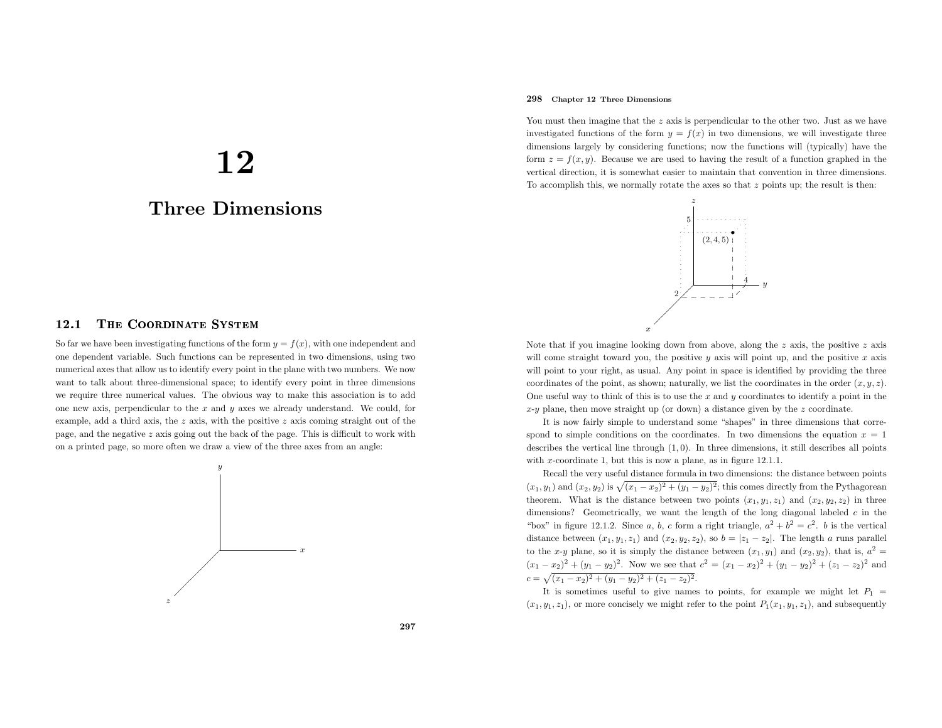# 12

## Three Dimensions

## 298 Chapter <sup>12</sup> Three Dimensions

You must then imagine that the z axis is perpendicular to the other two. Just as we have investigated functions of the form  $y = f(x)$  in two dimensions, we will investigate three dimensions largely by considering functions; now the functions will (typically) have the form  $z = f(x, y)$ . Because we are used to having the result of a function graphed in the vertical direction, it is somewhat easier to maintain that convention in three dimensions. To accomplish this, we normally rotate the axes so that  $z$  points up; the result is then:



#### 12.11 THE COORDINATE SYSTEM

So far we have been investigating functions of the form  $y = f(x)$ , with one independent and one dependent variable. Such functions can be represented in two dimensions, using two numerical axes that allow us to identify every point in the <sup>p</sup>lane with two numbers. We now want to talk about three-dimensional space; to identify every point in three dimensions we require three numerical values. The obvious way to make this association is to addone new axis, perpendicular to the  $x$  and  $y$  axes we already understand. We could, for example, add a third axis, the z axis, with the positive z axis coming straight out of the page, and the negative z axis going out the back of the page. This is difficult to work with on <sup>a</sup> printed page, so more often we draw <sup>a</sup> view of the three axes from an angle:



Note that if you imagine looking down from above, along the  $z$  axis, the positive  $z$  axis will come straight toward you, the positive  $y$  axis will point up, and the positive  $x$  axis will point to your right, as usual. Any point in space is identified by providing the three coordinates of the point, as shown; naturally, we list the coordinates in the order  $(x, y, z)$ . One useful way to think of this is to use the  $x$  and  $y$  coordinates to identify a point in the  $x-y$  plane, then move straight up (or down) a distance given by the z coordinate.

 $_{x}$ 

It is now fairly simple to understand some "shapes" in three dimensions that correspond to simple conditions on the coordinates. In two dimensions the equation  $x = 1$ describes the vertical line through  $(1, 0)$ . In three dimensions, it still describes all points with x-coordinate 1, but this is now a plane, as in figure  $12.1.1$ .

Recall the very useful distance formula in two dimensions: the distance between points  $(x_1, y_1)$  and  $(x_2, y_2)$  is  $\sqrt{(x_1 - x_2)^2 + (y_1 - y_2)^2}$ ; this comes directly from the Pythagorean theorem. What is the distance between two points  $(x_1, y_1, z_1)$  and  $(x_2, y_2, z_2)$  in three dimensions? Geometrically, we want the length of the long diagonal labeled  $c$  in the "box" in figure 12.1.2. Since a, b, c form a right triangle,  $a^2 + b^2 = c^2$ . b is the vertical distance between  $(x_1, y_1, z_1)$  and  $(x_2, y_2, z_2)$ , so  $b = |z_1 - z_2|$ . The length a runs parallel to the x-y plane, so it is simply the distance between  $(x_1, y_1)$  and  $(x_2, y_2)$ , that is,  $a^2 =$  $(x_1 - x_2)^2 + (y_1 - y_2)^2$ . Now we see that  $c^2 = (x_1 - x_2)^2 + (y_1 - y_2)^2 + (z_1 - z_2)^2$  and  $c = \sqrt{(x_1 - x_2)^2 + (y_1 - y_2)^2 + (z_1 - z_2)^2}.$ 

It is sometimes useful to give names to points, for example we might let  $P_1$  =  $(x_1, y_1, z_1)$ , or more concisely we might refer to the point  $P_1(x_1, y_1, z_1)$ , and subsequently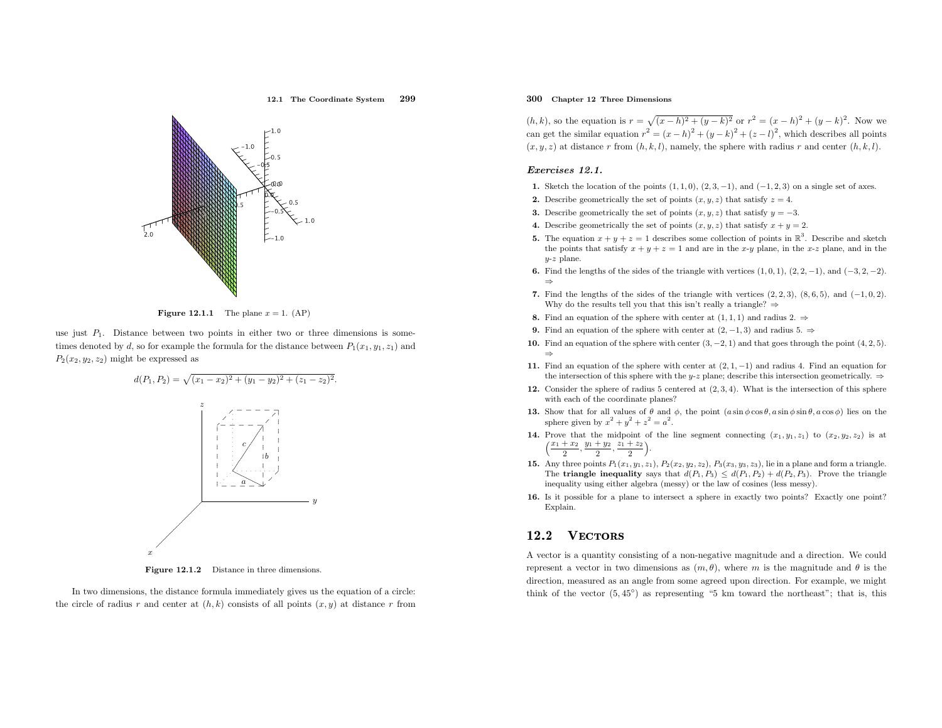12.1 The Coordinate System<sup>299</sup>



**Figure 12.1.1** The plane  $x = 1$ . (AP)

use just  $P_1$ . Distance between two points in either two or three dimensions is sometimes denoted by d, so for example the formula for the distance between  $P_1(x_1, y_1, z_1)$  and  $P_2(x_2, y_2, z_2)$  might be expressed as



Figure 12.1.2 Distance in three dimensions.

In two dimensions, the distance formula immediately <sup>g</sup>ives us the equation of <sup>a</sup> circle: the circle of radius r and center at  $(h, k)$  consists of all points  $(x, y)$  at distance r from

## 300 Chapter <sup>12</sup> Three Dimensions

 $(h, k)$ , so the equation is  $r = \sqrt{(x - h)^2 + (y - k)^2}$  or  $r^2 = (x - h)^2 + (y - k)^2$ . Now we can get the similar equation  $r^2 = (x - h)^2 + (y - k)^2 + (z - l)^2$ , which describes all points  $(x, y, z)$  at distance r from  $(h, k, l)$ , namely, the sphere with radius r and center  $(h, k, l)$ .

#### Exercises 12.1.

- 1. Sketch the location of the points  $(1, 1, 0)$ ,  $(2, 3, -1)$ , and  $(-1, 2, 3)$  on a single set of axes.
- **2.** Describe geometrically the set of points  $(x, y, z)$  that satisfy  $z = 4$ .
- **3.** Describe geometrically the set of points  $(x, y, z)$  that satisfy  $y = -3$ .
- **4.** Describe geometrically the set of points  $(x, y, z)$  that satisfy  $x + y = 2$ .
- **5.** The equation  $x + y + z = 1$  describes some collection of points in  $\mathbb{R}^3$ . Describe and sketch the points that satisfy  $x + y + z = 1$  and are in the x-y plane, in the x-z plane, and in the y-<sup>z</sup> <sup>p</sup>lane.
- 6. Find the lengths of the sides of the triangle with vertices  $(1, 0, 1)$ ,  $(2, 2, -1)$ , and  $(-3, 2, -2)$ . ⇒
- 7. Find the lengths of the sides of the triangle with vertices  $(2, 2, 3)$ ,  $(8, 6, 5)$ , and  $(-1, 0, 2)$ . Why do the results tell you that this isn't really a triangle?  $\Rightarrow$
- **8.** Find an equation of the sphere with center at  $(1, 1, 1)$  and radius  $2 \Rightarrow$
- 9. Find an equation of the sphere with center at  $(2, -1, 3)$  and radius 5. ⇒
- 10. Find an equation of the sphere with center  $(3, -2, 1)$  and that goes through the point  $(4, 2, 5)$ . ⇒
- 11. Find an equation of the sphere with center at (2, <sup>1</sup>, <sup>−</sup>1) and radius 4. Find an equation for the intersection of this sphere with the y-z plane; describe this intersection geometrically.  $\Rightarrow$
- 12. Consider the sphere of radius <sup>5</sup> centered at (2, <sup>3</sup>, 4). What is the intersection of this sphere with each of the coordinate <sup>p</sup>lanes?
- 13. Show that for all values of  $\theta$  and  $\phi$ , the point  $(a \sin \phi \cos \theta, a \sin \phi \sin \theta, a \cos \phi)$  lies on the sphere given by  $x^2 + y^2 + z^2 = a^2$ .
- **14.** Prove that the midpoint of the line segment connecting  $(x_1, y_1, z_1)$  to  $(x_2, y_2, z_2)$  is at  $\left(\frac{x_1+x_2}{2},\frac{y_1+y_2}{2},\frac{z_1+z_2}{2}\right)$
- **15.** Any three points  $P_1(x_1, y_1, z_1)$ ,  $P_2(x_2, y_2, z_2)$ ,  $P_3(x_3, y_3, z_3)$ , lie in a plane and form a triangle. The **triangle inequality** says that  $d(P_1, P_3) \leq d(P_1, P_2) + d(P_2, P_3)$ . Prove the triangle inequality using either algebra (messy) or the law of cosines (less messy).
- 16. Is it possible for <sup>a</sup> <sup>p</sup>lane to intersect <sup>a</sup> sphere in exactly two points? Exactly one point? Explain.

#### 12.2**VECTORS**

<sup>A</sup> vector is <sup>a</sup> quantity consisting of <sup>a</sup> non-negative magnitude and <sup>a</sup> direction. We couldrepresent a vector in two dimensions as  $(m, \theta)$ , where m is the magnitude and  $\theta$  is the direction, measured as an angle from some agreed upon direction. For example, we might think of the vector  $(5, 45^{\circ})$  as representing "5 km toward the northeast"; that is, this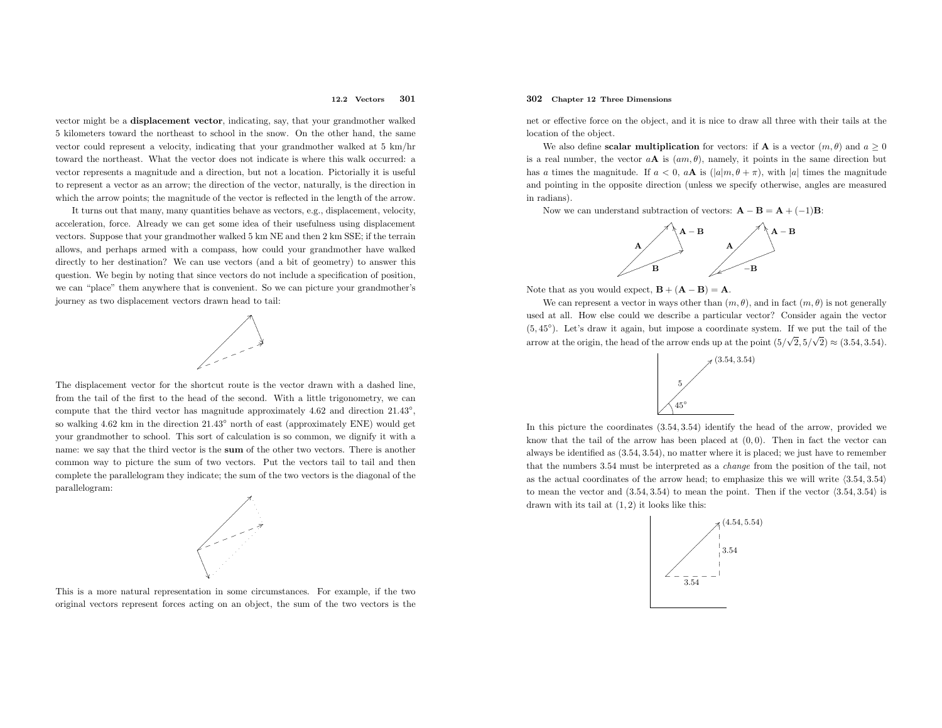#### 12.2 Vectors <sup>301</sup>

vector might be <sup>a</sup> displacement vector, indicating, say, that your grandmother walked <sup>5</sup> kilometers toward the northeast to school in the snow. On the other hand, the same vector could represent <sup>a</sup> velocity, indicating that your grandmother walked at <sup>5</sup> km/hr toward the northeast. What the vector does not indicate is where this walk occurred: <sup>a</sup> vector represents <sup>a</sup> magnitude and <sup>a</sup> direction, but not <sup>a</sup> location. Pictorially it is useful to represent <sup>a</sup> vector as an arrow; the direction of the vector, naturally, is the direction inwhich the arrow points; the magnitude of the vector is reflected in the length of the arrow.

It turns out that many, many quantities behave as vectors, e.g., displacement, velocity, acceleration, force. Already we can get some idea of their usefulness using displacement vectors. Suppose that your grandmother walked <sup>5</sup> km NE and then <sup>2</sup> km SSE; if the terrain allows, and perhaps armed with <sup>a</sup> compass, how could your grandmother have walked directly to her destination? We can use vectors (and <sup>a</sup> bit of geometry) to answer this question. We begin by noting that since vectors do not include <sup>a</sup> specification of position, we can "place" them anywhere that is convenient. So we can <sup>p</sup>icture your grandmother's journey as two displacement vectors drawn head to tail:



The displacement vector for the shortcut route is the vector drawn with <sup>a</sup> dashed line, from the tail of the first to the head of the second. With <sup>a</sup> little trigonometry, we can compute that the third vector has magnitude approximately 4.62 and direction <sup>21</sup>.<sup>43</sup> ◦ ,so walking 4.62 km in the direction  $21.43^{\circ}$  north of east (approximately ENE) would get your grandmother to school. This sort of calculation is so common, we dignify it with <sup>a</sup> name: we say that the third vector is the sum of the other two vectors. There is another common way to <sup>p</sup>icture the sum of two vectors. Put the vectors tail to tail and then complete the parallelogram they indicate; the sum of the two vectors is the diagonal of the parallelogram:



This is <sup>a</sup> more natural representation in some circumstances. For example, if the two original vectors represent forces acting on an object, the sum of the two vectors is the

## 302 Chapter <sup>12</sup> Three Dimensions

net or effective force on the object, and it is nice to draw all three with their tails at the location of the object.

We also define **scalar multiplication** for vectors: if **A** is a vector  $(m, \theta)$  and  $a \ge 0$ is a real number, the vector  $a\mathbf{A}$  is  $(am,\theta)$ , namely, it points in the same direction but has a times the magnitude. If  $a < 0$ ,  $aA$  is  $(|a|m, \theta + \pi)$ , with  $|a|$  times the magnitude and pointing in the opposite direction (unless we specify otherwise, angles are measuredin radians).

Now we can understand subtraction of vectors:  $\mathbf{A} - \mathbf{B} = \mathbf{A} + (-1)\mathbf{B}$ :



Note that as you would expect,  $\mathbf{B} + (\mathbf{A} - \mathbf{B}) = \mathbf{A}$ .

We can represent a vector in ways other than  $(m, \theta)$ , and in fact  $(m, \theta)$  is not generally used at all. How else could we describe <sup>a</sup> particular vector? Consider again the vector (5, 45◦). Let's draw it again, but impose <sup>a</sup> coordinate system. If we put the tail of the arrow at the origin, the head of the arrow ends up at the point  $(5/\sqrt{2}, 5/\sqrt{2}) \approx (3.54, 3.54)$ .



In this <sup>p</sup>icture the coordinates (3.54, <sup>3</sup>.54) identify the head of the arrow, provided we know that the tail of the arrow has been placed at  $(0, 0)$ . Then in fact the vector can always be identified as (3.54, <sup>3</sup>.54), no matter where it is <sup>p</sup>laced; we just have to remember that the numbers 3.54 must be interpreted as <sup>a</sup> change from the position of the tail, not as the actual coordinates of the arrow head; to emphasize this we will write  $(3.54, 3.54)$ to mean the vector and  $(3.54, 3.54)$  to mean the point. Then if the vector  $\langle 3.54, 3.54 \rangle$  is drawn with its tail at  $(1, 2)$  it looks like this:

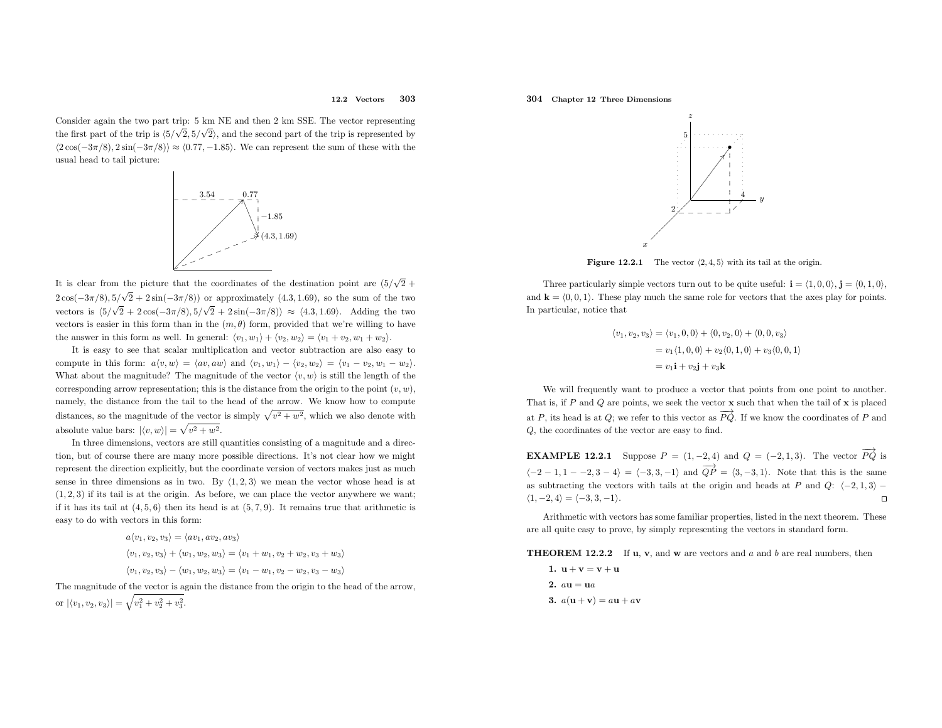#### 12.2 Vectors <sup>303</sup>

Consider again the two part trip: <sup>5</sup> km NE and then <sup>2</sup> km SSE. The vector representing the first part of the trip is  $\langle 5/\sqrt{2}, 5/\sqrt{2} \rangle$ , and the second part of the trip is represented by  $\langle 2\cos(-3\pi/8), 2\sin(-3\pi/8) \rangle \approx \langle 0.77, -1.85 \rangle$ . We can represent the sum of these with the usual head to tail <sup>p</sup>icture:



It is clear from the picture that the coordinates of the destination point are  $(5/\sqrt{2} +$  $2\cos(-3\pi/8), 5/\sqrt{2} + 2\sin(-3\pi/8))$  or approximately  $(4.3, 1.69)$ , so the sum of the two vectors is  $\langle 5/\sqrt{2} + 2\cos(-3\pi/8), 5/\sqrt{2} + 2\sin(-3\pi/8) \rangle \approx \langle 4.3, 1.69 \rangle$ . Adding the two vectors is easier in this form than in the  $(m, \theta)$  form, provided that we're willing to have the answer in this form as well. In general:  $\langle v_1, w_1 \rangle + \langle v_2, w_2 \rangle = \langle v_1 + v_2, w_1 + w_2 \rangle$ .

 It is easy to see that scalar multiplication and vector subtraction are also easy to compute in this form:  $a\langle v, w \rangle = \langle av, aw \rangle$  and  $\langle v_1, w_1 \rangle - \langle v_2, w_2 \rangle = \langle v_1 - v_2, w_1 - w_2 \rangle$ . What about the magnitude? The magnitude of the vector  $\langle v, w \rangle$  is still the length of the corresponding arrow representation; this is the distance from the origin to the point  $(v, w)$ , namely, the distance from the tail to the head of the arrow. We know how to compute distances, so the magnitude of the vector is simply  $\sqrt{v^2 + w^2}$ , which we also denote with absolute value bars:  $|\langle v, w \rangle| = \sqrt{v^2 + w^2}$ .

 In three dimensions, vectors are still quantities consisting of <sup>a</sup> magnitude and <sup>a</sup> direction, but of course there are many more possible directions. It's not clear how we might represent the direction explicitly, but the coordinate version of vectors makes just as muchsense in three dimensions as in two. By  $\langle 1, 2, 3 \rangle$  we mean the vector whose head is at  $(1, 2, 3)$  if its tail is at the origin. As before, we can place the vector anywhere we want; if it has its tail at  $(4, 5, 6)$  then its head is at  $(5, 7, 9)$ . It remains true that arithmetic is easy to do with vectors in this form:

$$
a\langle v_1, v_2, v_3 \rangle = \langle av_1, av_2, av_3 \rangle
$$
  

$$
\langle v_1, v_2, v_3 \rangle + \langle w_1, w_2, w_3 \rangle = \langle v_1 + w_1, v_2 + w_2, v_3 + w_3 \rangle
$$
  

$$
\langle v_1, v_2, v_3 \rangle - \langle w_1, w_2, w_3 \rangle = \langle v_1 - w_1, v_2 - w_2, v_3 - w_3 \rangle
$$

The magnitude of the vector is again the distance from the origin to the head of the arrow,

or  $|\langle v_1, v_2, v_3 \rangle| = \sqrt{v_1^2 + v_2^2 + v_3^2}.$ 



**Figure 12.2.1** The vector  $\langle 2, 4, 5 \rangle$  with its tail at the origin.

 $_{x}$ 

Three particularly simple vectors turn out to be quite useful:  $\mathbf{i} = \langle 1, 0, 0 \rangle$ ,  $\mathbf{j} = \langle 0, 1, 0 \rangle$ , and  $\mathbf{k} = \langle 0, 0, 1 \rangle$ . These play much the same role for vectors that the axes play for points. In particular, notice that

$$
\langle v_1, v_2, v_3 \rangle = \langle v_1, 0, 0 \rangle + \langle 0, v_2, 0 \rangle + \langle 0, 0, v_3 \rangle
$$
  
=  $v_1 \langle 1, 0, 0 \rangle + v_2 \langle 0, 1, 0 \rangle + v_3 \langle 0, 0, 1 \rangle$   
=  $v_1 \mathbf{i} + v_2 \mathbf{j} + v_3 \mathbf{k}$ 

We will frequently want to produce <sup>a</sup> vector that points from one point to another. That is, if P and Q are points, we seek the vector **x** such that when the tail of **x** is placed at P, its head is at Q; we refer to this vector as  $\overrightarrow{PQ}$ . If we know the coordinates of P and Q, the coordinates of the vector are easy to find.

**EXAMPLE 12.2.1** Suppose  $P = (1, -2, 4)$  and  $Q = (-2, 1, 3)$ . The vector  $\overrightarrow{PQ}$  is  $\langle -2 - 1, 1 - -2, 3 - 4 \rangle = \langle -3, 3, -1 \rangle$  and  $\overrightarrow{QP} = \langle 3, -3, 1 \rangle$ . Note that this is the same as subtracting the vectors with tails at the origin and heads at P and Q:  $\langle -2, 1, 3 \rangle$  −  $\langle 1, -2, 4 \rangle = \langle -3, 3, -1 \rangle.$ 

Arithmetic with vectors has some familiar properties, listed in the next theorem. These are all quite easy to prove, by simply representing the vectors in standard form.

**THEOREM 12.2.2** If **u**, **v**, and **w** are vectors and a and b are real numbers, then

1.  $u + v = v + u$ 2.  $au = ua$ **3.**  $a(\mathbf{u} + \mathbf{v}) = a\mathbf{u} + a\mathbf{v}$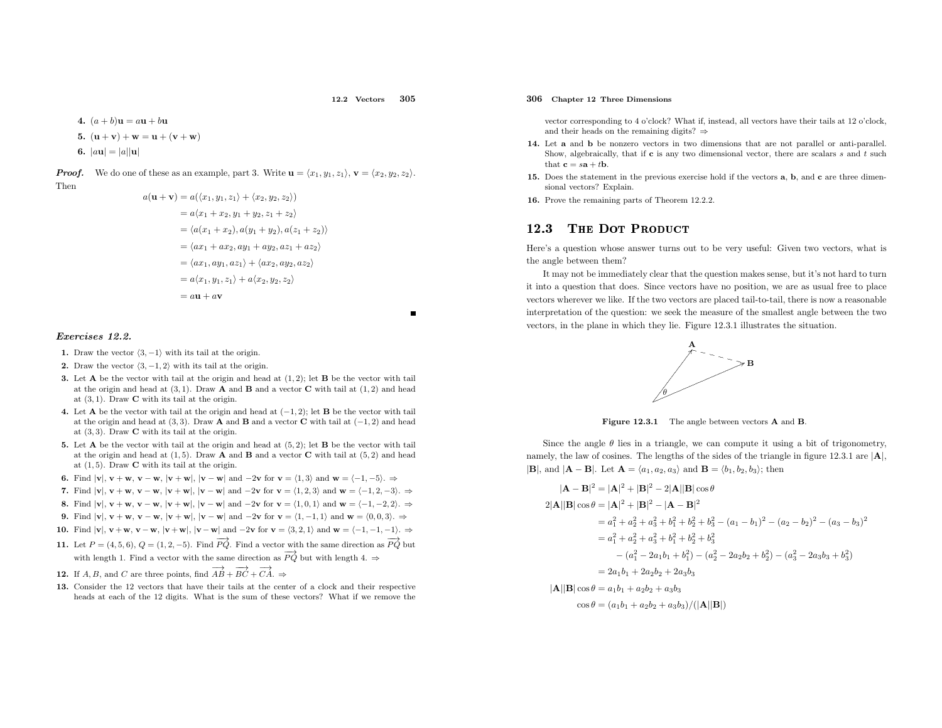12.2 Vectors <sup>305</sup>

4.  $(a + b)\mathbf{u} = a\mathbf{u} + b\mathbf{u}$ 

$$
5. \left( \mathbf{u} + \mathbf{v} \right) + \mathbf{w} = \mathbf{u} + (\mathbf{v} + \mathbf{w})
$$

6.  $|a\mathbf{u}| = |a||\mathbf{u}|$ 

**Proof.** We do one of these as an example, part 3. Write  $\mathbf{u} = \langle x_1, y_1, z_1 \rangle$ ,  $\mathbf{v} = \langle x_2, y_2, z_2 \rangle$ . Then

$$
a(\mathbf{u} + \mathbf{v}) = a(\langle x_1, y_1, z_1 \rangle + \langle x_2, y_2, z_2 \rangle)
$$
  
=  $a\langle x_1 + x_2, y_1 + y_2, z_1 + z_2 \rangle$   
=  $\langle a(x_1 + x_2), a(y_1 + y_2), a(z_1 + z_2) \rangle$   
=  $\langle ax_1 + ax_2, ay_1 + ay_2, az_1 + az_2 \rangle$   
=  $\langle ax_1, ay_1, az_1 \rangle + \langle ax_2, ay_2, az_2 \rangle$   
=  $a\langle x_1, y_1, z_1 \rangle + a\langle x_2, y_2, z_2 \rangle$   
=  $a\mathbf{u} + a\mathbf{v}$ 

## Exercises 12.2.

- 1. Draw the vector  $\langle 3, -1 \rangle$  with its tail at the origin.
- 2. Draw the vector  $\langle 3, -1, 2 \rangle$  with its tail at the origin.
- 3. Let **A** be the vector with tail at the origin and head at  $(1, 2)$ ; let **B** be the vector with tail at the origin and head at  $(2, 1)$ . Degree A and **B** and a vector **C** with tail at  $(1, 2)$  and head at the origin and head at  $(3, 1)$ . Draw **A** and **B** and a vector **C** with tail at  $(1, 2)$  and head at  $(3, 1)$ . Draw **C** with its tail at the origin.
- 4. Let **A** be the vector with tail at the origin and head at  $(-1, 2)$ ; let **B** be the vector with tail at the origin and head at  $(2, 2)$ . Despite and a vector **G** with tail at  $(-1, 2)$  and head at the origin and head at  $(3, 3)$ . Draw **A** and **B** and a vector **C** with tail at  $(-1, 2)$  and head at  $(3, 3)$ . Draw **C** with its tail at the origin.
- 5. Let **A** be the vector with tail at the origin and head at  $(5, 2)$ ; let **B** be the vector with tail at the origin and head at  $(1, 5)$ . Draw **A** and **B** and a vector **C** with tail at  $(5, 2)$  and head at the origin and head at  $(1,5)$ . Draw **A** and **B** and a vector **C** with tail at  $(5,2)$  and head at  $(1, 5)$ . Draw **C** with its tail at the origin.
- 6. Find  $|v|, v + w, v w, |v + w|, |v w|$  and  $-2v$  for  $v = \langle 1, 3 \rangle$  and  $w = \langle -1, -5 \rangle$ .
- 7. Find  $|v|, v + w, v w, |v + w|, |v w|$  and  $-2v$  for  $v = \langle 1, 2, 3 \rangle$  and  $w = \langle -1, 2, -3 \rangle$ .
- 8. Find  $|v|, v + w, v w, |v + w|, |v w|$  and  $-2v$  for  $v = \langle 1, 0, 1 \rangle$  and  $w = \langle -1, -2, 2 \rangle$ .  $\Rightarrow$
- 9. Find  $|v|$ ,  $v + w$ ,  $v w$ ,  $|v + w|$ ,  $|v w|$  and  $-2v$  for  $v = \langle 1, -1, 1 \rangle$  and  $w = \langle 0, 0, 3 \rangle$ . ⇒
- 10. Find  $|v|, v + w, v w, |v + w|, |v w|$  and  $-2v$  for  $v = \langle 3, 2, 1 \rangle$  and  $w = \langle -1, -1, -1 \rangle$ . ⇒
- 11. Let  $P = (4, 5, 6), Q = (1, 2, -5)$ . Find  $\overrightarrow{PQ}$ . Find a vector with the same direction as  $\overrightarrow{PQ}$  but with length 1. Find a vector with the same direction as  $\overrightarrow{PQ}$  but with length 4.  $\Rightarrow$
- **12.** If  $A, B$ , and  $C$  are three points, find  $\overrightarrow{AB} + \overrightarrow{BC} + \overrightarrow{CA}$ .  $\Rightarrow$
- 13. Consider the <sup>12</sup> vectors that have their tails at the center of <sup>a</sup> clock and their respective heads at each of the 12 digits. What is the sum of these vectors? What if we remove the

## 306 Chapter <sup>12</sup> Three Dimensions

vector corresponding to <sup>4</sup> <sup>o</sup>'clock? What if, instead, all vectors have their tails at <sup>12</sup> <sup>o</sup>'clock, and their heads on the remaining digits?  $\Rightarrow$ 

- 14. Let <sup>a</sup> and <sup>b</sup> be nonzero vectors in two dimensions that are not parallel or anti-parallel. Show, algebraically, that if  $\mathbf c$  is any two dimensional vector, there are scalars  $s$  and  $t$  such that  $\mathbf{c} = s\mathbf{a} + t\mathbf{b}$ .
- **15.** Does the statement in the previous exercise hold if the vectors  $\bf{a}$ ,  $\bf{b}$ , and  $\bf{c}$  are three dimensional vectors? Explain.
- 16. Prove the remaining parts of Theorem 12.2.2.

#### 12.33 THE DOT PRODUCT

Here's <sup>a</sup> question whose answer turns out to be very useful: Given two vectors, what is the angle between them?

It may not be immediately clear that the question makes sense, but it's not hard to turn it into <sup>a</sup> question that does. Since vectors have no position, we are as usual free to <sup>p</sup>lace vectors wherever we like. If the two vectors are <sup>p</sup>laced tail-to-tail, there is now <sup>a</sup> reasonable interpretation of the question: we seek the measure of the smallest angle between the two vectors, in the <sup>p</sup>lane in which they lie. Figure 12.3.1 illustrates the situation.



**Figure 12.3.1** The angle between vectors **A** and **B**.

Since the angle  $\theta$  lies in a triangle, we can compute it using a bit of trigonometry, namely, the law of cosines. The lengths of the sides of the triangle in figure 12.3.1 are  $|A|$ ,  $|\mathbf{B}|$ , and  $|\mathbf{A} - \mathbf{B}|$ . Let  $\mathbf{A} = \langle a_1, a_2, a_3 \rangle$  and  $\mathbf{B} = \langle b_1, b_2, b_3 \rangle$ ; then

$$
|\mathbf{A} - \mathbf{B}|^2 = |\mathbf{A}|^2 + |\mathbf{B}|^2 - 2|\mathbf{A}||\mathbf{B}|\cos\theta
$$
  
\n
$$
2|\mathbf{A}||\mathbf{B}|\cos\theta = |\mathbf{A}|^2 + |\mathbf{B}|^2 - |\mathbf{A} - \mathbf{B}|^2
$$
  
\n
$$
= a_1^2 + a_2^2 + a_3^2 + b_1^2 + b_2^2 + b_3^2 - (a_1 - b_1)^2 - (a_2 - b_2)^2 - (a_3 - b_3)^2
$$
  
\n
$$
= a_1^2 + a_2^2 + a_3^2 + b_1^2 + b_2^2 + b_3^2
$$
  
\n
$$
- (a_1^2 - 2a_1b_1 + b_1^2) - (a_2^2 - 2a_2b_2 + b_2^2) - (a_3^2 - 2a_3b_3 + b_3^2)
$$
  
\n
$$
= 2a_1b_1 + 2a_2b_2 + 2a_3b_3
$$

$$
|\mathbf{A}||\mathbf{B}|\cos\theta = a_1b_1 + a_2b_2 + a_3b_3
$$

 $\cos \theta = (a_1b_1 + a_2b_2 + a_3b_3)/(|\mathbf{A}||\mathbf{B}|)$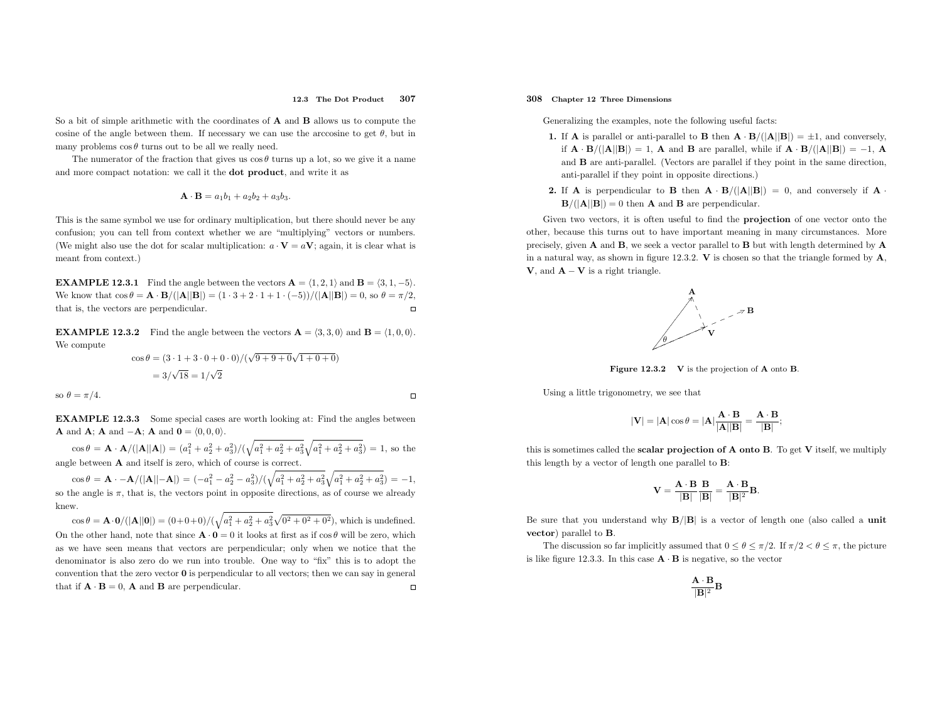So a bit of simple arithmetic with the coordinates of  $\bf{A}$  and  $\bf{B}$  allows us to compute the cosine of the angle between them. If necessary we can use the arccosine to get  $\theta$ , but in many problems  $\cos \theta$  turns out to be all we really need.

The numerator of the fraction that gives us  $\cos \theta$  turns up a lot, so we give it a name and more compact notation: we call it the dot product, and write it as

$$
\mathbf{A} \cdot \mathbf{B} = a_1b_1 + a_2b_2 + a_3b_3.
$$

This is the same symbol we use for ordinary multiplication, but there should never be any confusion; you can tell from context whether we are "multiplying" vectors or numbers. (We might also use the dot for scalar multiplication:  $a \cdot \mathbf{V} = a\mathbf{V}$ ; again, it is clear what is meant from context.)

**EXAMPLE 12.3.1** Find the angle between the vectors  $\mathbf{A} = \langle 1, 2, 1 \rangle$  and  $\mathbf{B} = \langle 3, 1, -5 \rangle$ . We know that  $\cos \theta = \mathbf{A} \cdot \mathbf{B}/(|\mathbf{A}||\mathbf{B}|) = (1 \cdot 3 + 2 \cdot 1 + 1 \cdot (-5))/(|\mathbf{A}||\mathbf{B}|) = 0$ , so  $\theta = \pi/2$ , that is, the vectors are perpendicular.

**EXAMPLE 12.3.2** Find the angle between the vectors  $\mathbf{A} = \langle 3, 3, 0 \rangle$  and  $\mathbf{B} = \langle 1, 0, 0 \rangle$ . We compute

> $\cos \theta = (3 \cdot 1 + 3 \cdot 0 + 0 \cdot 0) / (\sqrt{9 + 9 + 0} \sqrt{1 + 0 + 0})$  $= 3/\sqrt{18} = 1/\sqrt{2}$

so  $\theta = \pi/4$ .

 $\Box$ 

EXAMPLE 12.3.3 Some special cases are worth looking at: Find the angles between **A** and **A**; **A** and  $-\mathbf{A}$ ; **A** and  $\mathbf{0} = \langle 0, 0, 0 \rangle$ .

 $\cos \theta = \mathbf{A} \cdot \mathbf{A}/(|\mathbf{A}||\mathbf{A}|) = (a_1^2 + a_2^2 + a_3^2)/(\sqrt{a_1^2 + a_2^2 + a_3^2}\sqrt{a_1^2 + a_2^2 + a_3^2}) = 1$ , so the angle between  $\bf{A}$  and itself is zero, which of course is correct.

 $\cos \theta = \mathbf{A} \cdot -\mathbf{A}/(|\mathbf{A}||-\mathbf{A}|) = (-a_1^2 - a_2^2 - a_3^2)/(\sqrt{a_1^2 + a_2^2 + a_3^2}\sqrt{a_1^2 + a_2^2 + a_3^2}) = -1,$ so the angle is  $\pi$ , that is, the vectors point in opposite directions, as of course we already knew.

 $\cos \theta = \mathbf{A} \cdot \mathbf{0} / (|\mathbf{A}||\mathbf{0}|) = (0+0+0)/(\sqrt{a_1^2 + a_2^2 + a_3^2} \sqrt{0^2 + 0^2 + 0^2})$ , which is undefined. On the other hand, note that since  $\mathbf{A} \cdot \mathbf{0} = 0$  it looks at first as if  $\cos \theta$  will be zero, which as we have seen means that vectors are perpendicular; only when we notice that the denominator is also zero do we run into trouble. One way to "fix" this is to adopt the convention that the zero vector <sup>0</sup> is perpendicular to all vectors; then we can say in genera<sup>l</sup> that if  $\mathbf{A} \cdot \mathbf{B} = 0$ ,  $\mathbf{A}$  and  $\mathbf{B}$  are perpendicular.  $\Box$ 

## 308 Chapter <sup>12</sup> Three Dimensions

Generalizing the examples, note the following useful facts:

- 1. If **A** is parallel or anti-parallel to **B** then  $\mathbf{A} \cdot \mathbf{B}/(|\mathbf{A}||\mathbf{B}|) = \pm 1$ , and conversely, if  $\mathbf{A} \cdot \mathbf{B}/(|\mathbf{A}||\mathbf{B}|) = 1$ ,  $\mathbf{A}$  and  $\mathbf{B}$  are parallel, while if  $\mathbf{A} \cdot \mathbf{B}/(|\mathbf{A}||\mathbf{B}|) = -1$ ,  $\mathbf{A}$ and <sup>B</sup> are anti-parallel. (Vectors are parallel if they point in the same direction, anti-parallel if they point in opposite directions.)
- 2. If **A** is perpendicular to **B** then  $\mathbf{A} \cdot \mathbf{B}/(|\mathbf{A}||\mathbf{B}|) = 0$ , and conversely if  $\mathbf{A} \cdot \mathbf{B}/(|\mathbf{A}||\mathbf{B}|) = 0$  $\mathbf{B}/(|\mathbf{A}||\mathbf{B}|) = 0$  then **A** and **B** are perpendicular.

Given two vectors, it is often useful to find the projection of one vector onto the other, because this turns out to have important meaning in many circumstances. More precisely, <sup>g</sup>iven <sup>A</sup> and <sup>B</sup>, we seek <sup>a</sup> vector parallel to <sup>B</sup> but with length determined by <sup>A</sup> in a natural way, as shown in figure 12.3.2.  $\bf{V}$  is chosen so that the triangle formed by  $\bf{A}$ , **, and**  $**A** - **V**$  **is a right triangle.** 



**Figure 12.3.2** V is the projection of  $\bf{A}$  onto  $\bf{B}$ .

Using <sup>a</sup> little trigonometry, we see that

$$
|\mathbf{V}|=|\mathbf{A}|\cos\theta=|\mathbf{A}|\frac{\mathbf{A}\cdot\mathbf{B}}{|\mathbf{A}||\mathbf{B}|}=\frac{\mathbf{A}\cdot\mathbf{B}}{|\mathbf{B}|};
$$

this is sometimes called the **scalar projection of A onto B**. To get  $V$  itself, we multiply this length by <sup>a</sup> vector of length one parallel to <sup>B</sup>:

$$
V=\frac{A\cdot B}{|B|}\frac{B}{|B|}=\frac{A\cdot B}{|B|^2}B.
$$

Be sure that you understand why  $B/|B|$  is a vector of length one (also called a **unit** vector) parallel to <sup>B</sup>.

The discussion so far implicitly assumed that  $0 \le \theta \le \pi/2$ . If  $\pi/2 < \theta \le \pi$ , the picture is like figure 12.3.3. In this case  $\mathbf{A} \cdot \mathbf{B}$  is negative, so the vector

$$
\frac{{\bf A}\cdot{\bf B}}{|{\bf B}|^2}{\bf B}
$$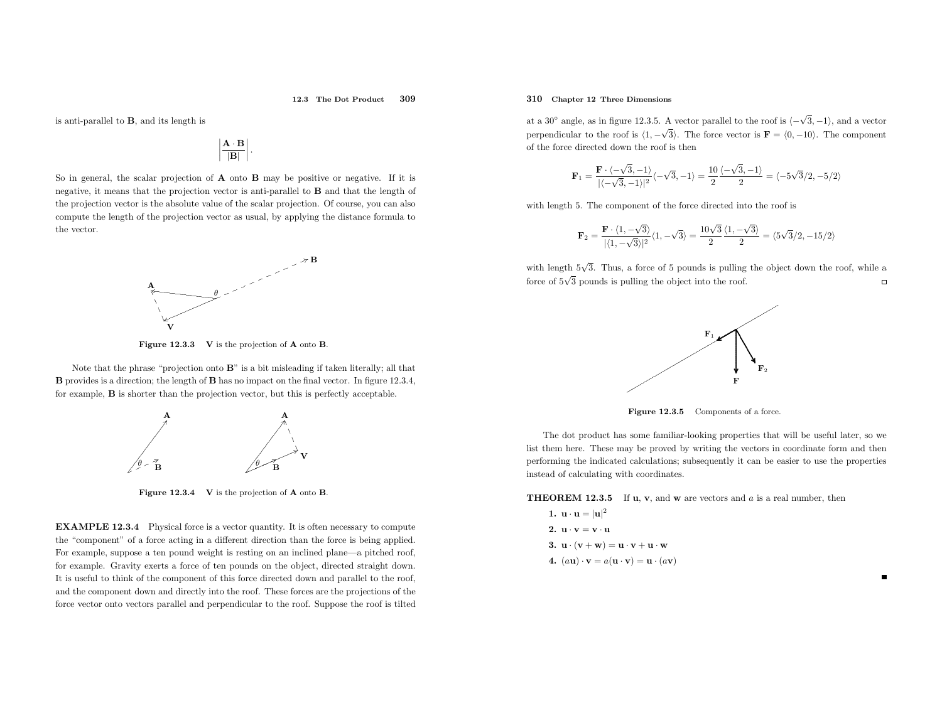#### 12.3 The Dot Product <sup>309</sup>

is anti-parallel to <sup>B</sup>, and its length is

$$
\left|\frac{\mathbf{A}\cdot\mathbf{B}}{|\mathbf{B}|}\right|
$$

So in general, the scalar projection of  $\bf{A}$  onto  $\bf{B}$  may be positive or negative. If it is negative, it means that the projection vector is anti-parallel to B and that the length of the projection vector is the absolute value of the scalar projection. Of course, you can also compute the length of the projection vector as usual, by applying the distance formula to the vector.



**Figure 12.3.3** V is the projection of  $\bf{A}$  onto  $\bf{B}$ .

Note that the <sup>p</sup>hrase "projection onto <sup>B</sup>" is <sup>a</sup> bit misleading if taken literally; all that B provides is <sup>a</sup> direction; the length of B has no impact on the final vector. In figure 12.3.4, for example, B is shorter than the projection vector, but this is perfectly acceptable.



**Figure 12.3.4**  $\mathbf{V}$  is the projection of **A** onto **B**.

EXAMPLE 12.3.4 Physical force is <sup>a</sup> vector quantity. It is often necessary to compute the "component" of <sup>a</sup> force acting in <sup>a</sup> different direction than the force is being applied. For example, suppose <sup>a</sup> ten pound weight is resting on an inclined <sup>p</sup>lane—a <sup>p</sup>itched roof, for example. Gravity exerts <sup>a</sup> force of ten pounds on the object, directed straight down. It is useful to think of the component of this force directed down and parallel to the roof, and the component down and directly into the roof. These forces are the projections of the force vector onto vectors parallel and perpendicular to the roof. Suppose the roof is tilted

## 310 Chapter <sup>12</sup> Three Dimensions

at a 30<sup>°</sup> angle, as in figure 12.3.5. A vector parallel to the roof is  $\langle -\sqrt{3}, -1 \rangle$ , and a vector perpendicular to the roof is  $\langle 1, -\sqrt{3} \rangle$ . The force vector is  $\mathbf{F} = \langle 0, -10 \rangle$ . The component of the force directed down the roof is then

$$
\mathbf{F}_1 = \frac{\mathbf{F} \cdot \langle -\sqrt{3}, -1 \rangle}{|\langle -\sqrt{3}, -1 \rangle|^2} \langle -\sqrt{3}, -1 \rangle = \frac{10}{2} \frac{\langle -\sqrt{3}, -1 \rangle}{2} = \langle -5\sqrt{3}/2, -5/2 \rangle
$$

with length 5. The component of the force directed into the roof is

$$
\mathbf{F}_2 = \frac{\mathbf{F} \cdot \langle 1, -\sqrt{3} \rangle}{|\langle 1, -\sqrt{3} \rangle|^2} \langle 1, -\sqrt{3} \rangle = \frac{10\sqrt{3}}{2} \frac{\langle 1, -\sqrt{3} \rangle}{2} = \langle 5\sqrt{3}/2, -15/2 \rangle
$$

with length  $5\sqrt{3}$ . Thus, a force of 5 pounds is pulling the object down the roof, while a force of  $5\sqrt{3}$  pounds is pulling the object into the roof.  $\Box$ 



**Figure 12.3.5** Components of a force.

The dot product has some familiar-looking properties that will be useful later, so we list them here. These may be proved by writing the vectors in coordinate form and then performing the indicated calculations; subsequently it can be easier to use the properties instead of calculating with coordinates.

**THEOREM 12.3.5** If  $\mathbf{u}, \mathbf{v}$ , and  $\mathbf{w}$  are vectors and  $a$  is a real number, then

1.  $\mathbf{u} \cdot \mathbf{u} = |\mathbf{u}|^2$ 2.  $\mathbf{u} \cdot \mathbf{v} = \mathbf{v} \cdot \mathbf{u}$ 3.  $\mathbf{u} \cdot (\mathbf{v} + \mathbf{w}) = \mathbf{u} \cdot \mathbf{v} + \mathbf{u} \cdot \mathbf{w}$ 4.  $(a\mathbf{u}) \cdot \mathbf{v} = a(\mathbf{u} \cdot \mathbf{v}) = \mathbf{u} \cdot (a\mathbf{v})$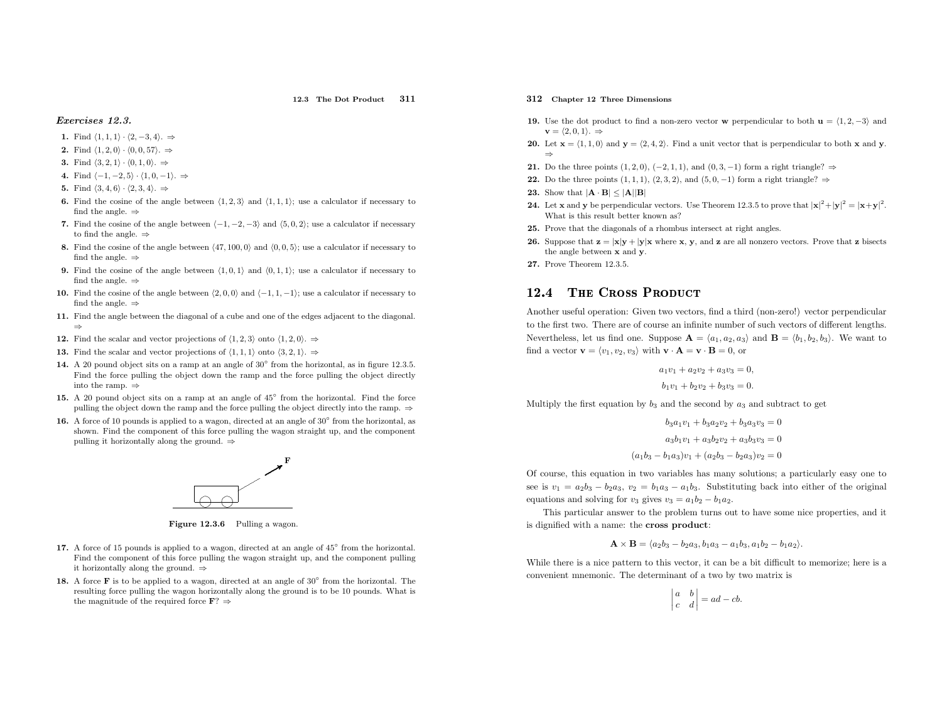#### 12.3 The Dot Product <sup>311</sup>

#### Exercises 12.3.

- 1. Find  $\langle 1, 1, 1 \rangle \cdot \langle 2, -3, 4 \rangle.$  ⇒
- 2. Find  $\langle 1, 2, 0 \rangle \cdot \langle 0, 0, 57 \rangle$ . ⇒
- **3.** Find  $\langle 3, 2, 1 \rangle \cdot \langle 0, 1, 0 \rangle. \Rightarrow$
- 4. Find  $\langle -1, -2, 5 \rangle \cdot \langle 1, 0, -1 \rangle. \Rightarrow$
- 5. Find  $\langle 3, 4, 6 \rangle \cdot \langle 2, 3, 4 \rangle. \Rightarrow$
- **6.** Find the cosine of the angle between  $\langle 1, 2, 3 \rangle$  and  $\langle 1, 1, 1 \rangle$ ; use a calculator if necessary to find the angle.  $\Rightarrow$
- 7. Find the cosine of the angle between  $\langle -1, -2, -3 \rangle$  and  $\langle 5, 0, 2 \rangle$ ; use a calculator if necessary to find the angle.  $\Rightarrow$
- 8. Find the cosine of the angle between  $\langle 47, 100, 0 \rangle$  and  $\langle 0, 0, 5 \rangle$ ; use a calculator if necessary to find the angle.  $\Rightarrow$
- **9.** Find the cosine of the angle between  $\langle 1, 0, 1 \rangle$  and  $\langle 0, 1, 1 \rangle$ ; use a calculator if necessary to find the angle.  $\Rightarrow$
- 10. Find the cosine of the angle between  $\langle 2, 0, 0 \rangle$  and  $\langle -1, 1, -1 \rangle$ ; use a calculator if necessary to find the angle.  $\Rightarrow$
- 11. Find the angle between the diagonal of <sup>a</sup> cube and one of the edges adjacent to the diagonal. ⇒
- 12. Find the scalar and vector projections of  $\langle 1, 2, 3 \rangle$  onto  $\langle 1, 2, 0 \rangle$ . ⇒
- **13.** Find the scalar and vector projections of  $\langle 1, 1, 1 \rangle$  onto  $\langle 3, 2, 1 \rangle$ . ⇒
- 14. A 20 pound object sits on a ramp at an angle of  $30^{\circ}$  from the horizontal, as in figure 12.3.5. Find the force pulling the object down the ramp and the force pulling the object directlyinto the ramp. ⇒
- 15. <sup>A</sup> <sup>20</sup> pound object sits on <sup>a</sup> ramp at an angle of <sup>45</sup> from the horizontal. Find the force pulling the object down the ramp and the force pulling the object directly into the ramp.  $\Rightarrow$
- **16.** A force of 10 pounds is applied to a wagon, directed at an angle of  $30°$  from the horizontal, as shown. Find the component of this force pulling the wagon straight up, and the component pulling it horizontally along the ground.  $\Rightarrow$



Figure 12.3.6 Pulling <sup>a</sup> wagon.

- 17. A force of 15 pounds is applied to a wagon, directed at an angle of 45<sup>°</sup> from the horizontal. Find the component of this force pulling the wagon straight up, and the component pullingit horizontally along the ground.  $\Rightarrow$
- **18.** A force  $\bf{F}$  is to be applied to a wagon, directed at an angle of  $30^{\circ}$  from the horizontal. The resulting force pulling the wagon horizontally along the ground is to be <sup>10</sup> pounds. What is the magnitude of the required force  $\mathbf{F}$ ?  $\Rightarrow$

## 312 Chapter <sup>12</sup> Three Dimensions

- 19. Use the dot product to find a non-zero vector **w** perpendicular to both  $\mathbf{u} = \langle 1, 2, -3 \rangle$  and  $\mathbf{v} = \langle 2, 0, 1 \rangle. \Rightarrow$
- **20.** Let  $\mathbf{x} = \langle 1, 1, 0 \rangle$  and  $\mathbf{y} = \langle 2, 4, 2 \rangle$ . Find a unit vector that is perpendicular to both **x** and **y**. ⇒
- 21. Do the three points  $(1, 2, 0)$ ,  $(-2, 1, 1)$ , and  $(0, 3, -1)$  form a right triangle? ⇒
- **22.** Do the three points  $(1,1,1)$ ,  $(2,3,2)$ , and  $(5,0,-1)$  form a right triangle? ⇒
- **23.** Show that  $|\mathbf{A} \cdot \mathbf{B}| \leq |\mathbf{A}||\mathbf{B}|$
- 24. Let x and y be perpendicular vectors. Use Theorem 12.3.5 to prove that  $|x|^2 + |y|^2 = |x+y|^2$ . What is this result better known as?
- 25. Prove that the diagonals of <sup>a</sup> rhombus intersect at right angles.
- **26.** Suppose that  $\mathbf{z} = |\mathbf{x}| \mathbf{y} + |\mathbf{y}| \mathbf{x}$  where **x**, **y**, and **z** are all nonzero vectors. Prove that **z** bisects the angle between <sup>x</sup> and <sup>y</sup>.
- 27. Prove Theorem 12.3.5.

#### 12.44 THE CROSS PRODUCT

Another useful operation: Given two vectors, find <sup>a</sup> third (non-zero!) vector perpendicular to the first two. There are of course an infinite number of such vectors of different lengths. Nevertheless, let us find one. Suppose  $\mathbf{A} = \langle a_1, a_2, a_3 \rangle$  and  $\mathbf{B} = \langle b_1, b_2, b_3 \rangle$ . We want to find a vector  $\mathbf{v} = \langle v_1, v_2, v_3 \rangle$  with  $\mathbf{v} \cdot \mathbf{A} = \mathbf{v} \cdot \mathbf{B} = 0$ , or

$$
a_1v_1 + a_2v_2 + a_3v_3 = 0,
$$
  

$$
b_1v_1 + b_2v_2 + b_3v_3 = 0.
$$

Multiply the first equation by  $b_3$  and the second by  $a_3$  and subtract to get

$$
b_3a_1v_1 + b_3a_2v_2 + b_3a_3v_3 = 0
$$
  

$$
a_3b_1v_1 + a_3b_2v_2 + a_3b_3v_3 = 0
$$
  

$$
(a_1b_3 - b_1a_3)v_1 + (a_2b_3 - b_2a_3)v_2 = 0
$$

Of course, this equation in two variables has many solutions; <sup>a</sup> particularly easy one to see is  $v_1 = a_2b_3 - b_2a_3$ ,  $v_2 = b_1a_3 - a_1b_3$ . Substituting back into either of the original equations and solving for  $v_3$  gives  $v_3 = a_1b_2 - b_1a_2$ .

This particular answer to the problem turns out to have some nice properties, and it is dignified with <sup>a</sup> name: the cross product:

 $\mathbf{A} \times \mathbf{B} = \langle a_2b_3 - b_2a_3, b_1a_3 - a_1b_3, a_1b_2 - b_1a_2 \rangle.$ 

While there is <sup>a</sup> nice pattern to this vector, it can be <sup>a</sup> bit difficult to memorize; here is <sup>a</sup> convenient mnemonic. The determinant of <sup>a</sup> two by two matrix is

$$
\begin{vmatrix} a & b \\ c & d \end{vmatrix} = ad - cb.
$$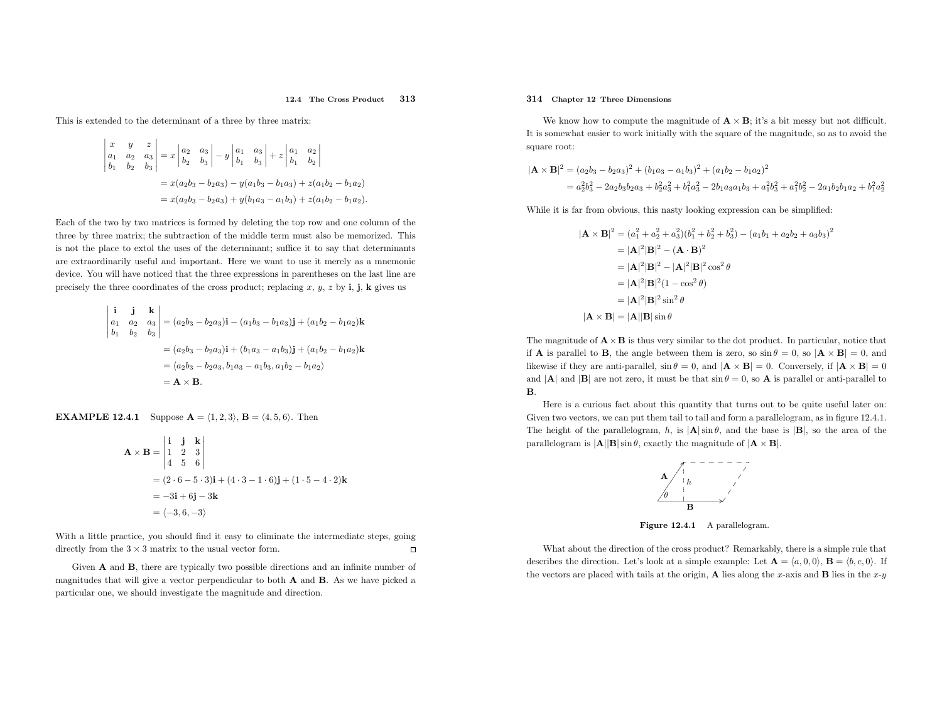This is extended to the determinant of <sup>a</sup> three by three matrix:

$$
\begin{vmatrix} x & y & z \ a_1 & a_2 & a_3 \ b_1 & b_2 & b_3 \end{vmatrix} = x \begin{vmatrix} a_2 & a_3 \ b_2 & b_3 \end{vmatrix} - y \begin{vmatrix} a_1 & a_3 \ b_1 & b_3 \end{vmatrix} + z \begin{vmatrix} a_1 & a_2 \ b_1 & b_2 \end{vmatrix}
$$
  
=  $x(a_2b_3 - b_2a_3) - y(a_1b_3 - b_1a_3) + z(a_1b_2 - b_1a_2)$   
=  $x(a_2b_3 - b_2a_3) + y(b_1a_3 - a_1b_3) + z(a_1b_2 - b_1a_2)$ .

Each of the two by two matrices is formed by deleting the top row and one column of the three by three matrix; the subtraction of the middle term must also be memorized. This is not the <sup>p</sup>lace to extol the uses of the determinant; suffice it to say that determinants are extraordinarily useful and important. Here we want to use it merely as <sup>a</sup> mnemonic device. You will have noticed that the three expressions in parentheses on the last line are precisely the three coordinates of the cross product; replacing x, y, z by  $\mathbf{i}$ ,  $\mathbf{j}$ ,  $\mathbf{k}$  gives us

$$
\begin{vmatrix}\n\mathbf{i} & \mathbf{j} & \mathbf{k} \\
a_1 & a_2 & a_3 \\
b_1 & b_2 & b_3\n\end{vmatrix} = (a_2b_3 - b_2a_3)\mathbf{i} - (a_1b_3 - b_1a_3)\mathbf{j} + (a_1b_2 - b_1a_2)\mathbf{k}
$$
  
\n
$$
= (a_2b_3 - b_2a_3)\mathbf{i} + (b_1a_3 - a_1b_3)\mathbf{j} + (a_1b_2 - b_1a_2)\mathbf{k}
$$
  
\n
$$
= \langle a_2b_3 - b_2a_3, b_1a_3 - a_1b_3, a_1b_2 - b_1a_2 \rangle
$$
  
\n
$$
= \mathbf{A} \times \mathbf{B}.
$$

**EXAMPLE 12.4.1** Suppose  $\mathbf{A} = \langle 1, 2, 3 \rangle$ ,  $\mathbf{B} = \langle 4, 5, 6 \rangle$ . Then

$$
\mathbf{A} \times \mathbf{B} = \begin{vmatrix} \mathbf{i} & \mathbf{j} & \mathbf{k} \\ 1 & 2 & 3 \\ 4 & 5 & 6 \end{vmatrix}
$$
  
=  $(2 \cdot 6 - 5 \cdot 3)\mathbf{i} + (4 \cdot 3 - 1 \cdot 6)\mathbf{j} + (1 \cdot 5 - 4 \cdot 2)\mathbf{k}$   
=  $-3\mathbf{i} + 6\mathbf{j} - 3\mathbf{k}$   
=  $\langle -3, 6, -3 \rangle$ 

With <sup>a</sup> little practice, you should find it easy to eliminate the intermediate steps, going directly from the  $3 \times 3$  matrix to the usual vector form.  $\Box$ 

Given **A** and **B**, there are typically two possible directions and an infinite number of magnitudes that will <sup>g</sup>ive <sup>a</sup> vector perpendicular to bothA and <sup>B</sup>. As we have <sup>p</sup>icked <sup>a</sup> particular one, we should investigate the magnitude and direction.

## 314 Chapter <sup>12</sup> Three Dimensions

We know how to compute the magnitude of  $\mathbf{A} \times \mathbf{B}$ ; it's a bit messy but not difficult. It is somewhat easier to work initially with the square of the magnitude, so as to avoid the square root:

$$
|\mathbf{A} \times \mathbf{B}|^2 = (a_2b_3 - b_2a_3)^2 + (b_1a_3 - a_1b_3)^2 + (a_1b_2 - b_1a_2)^2
$$
  
=  $a_2^2b_3^2 - 2a_2b_3b_2a_3 + b_2^2a_3^2 + b_1^2a_3^2 - 2b_1a_3a_1b_3 + a_1^2b_3^2 + a_1^2b_2^2 - 2a_1b_2b_1a_2 + b_1^2a_2^2$ 

While it is far from obvious, this nasty looking expression can be simplified:

$$
|\mathbf{A} \times \mathbf{B}|^2 = (a_1^2 + a_2^2 + a_3^2)(b_1^2 + b_2^2 + b_3^2) - (a_1b_1 + a_2b_2 + a_3b_3)^2
$$
  
=  $|\mathbf{A}|^2 |\mathbf{B}|^2 - (\mathbf{A} \cdot \mathbf{B})^2$   
=  $|\mathbf{A}|^2 |\mathbf{B}|^2 - |\mathbf{A}|^2 |\mathbf{B}|^2 \cos^2 \theta$   
=  $|\mathbf{A}|^2 |\mathbf{B}|^2 (1 - \cos^2 \theta)$   
=  $|\mathbf{A}|^2 |\mathbf{B}|^2 \sin^2 \theta$   
 $|\mathbf{A} \times \mathbf{B}| = |\mathbf{A}||\mathbf{B}|\sin \theta$ 

The magnitude of  $\mathbf{A} \times \mathbf{B}$  is thus very similar to the dot product. In particular, notice that if **A** is parallel to **B**, the angle between them is zero, so  $\sin \theta = 0$ , so  $|\mathbf{A} \times \mathbf{B}| = 0$ , and likewise if they are anti-parallel,  $\sin \theta = 0$ , and  $|\mathbf{A} \times \mathbf{B}| = 0$ . Conversely, if  $|\mathbf{A} \times \mathbf{B}| = 0$ and  $|\mathbf{A}|$  and  $|\mathbf{B}|$  are not zero, it must be that  $\sin \theta = 0$ , so **A** is parallel or anti-parallel to B.

Here is <sup>a</sup> curious fact about this quantity that turns out to be quite useful later on: Given two vectors, we can put them tail to tail and form a parallelogram, as in figure 12.4.1. The height of the parallelogram, h, is  $|\mathbf{A}|\sin\theta$ , and the base is  $|\mathbf{B}|$ , so the area of the parallelogram is  $|\mathbf{A}||\mathbf{B}|\sin\theta$ , exactly the magnitude of  $|\mathbf{A} \times \mathbf{B}|$ .



Figure 12.4.1 A parallelogram.

What about the direction of the cross product? Remarkably, there is <sup>a</sup> simple rule that describes the direction. Let's look at a simple example: Let  $\mathbf{A} = \langle a, 0, 0 \rangle$ ,  $\mathbf{B} = \langle b, c, 0 \rangle$ . If the vectors are placed with tails at the origin, **A** lies along the x-axis and **B** lies in the  $x-y$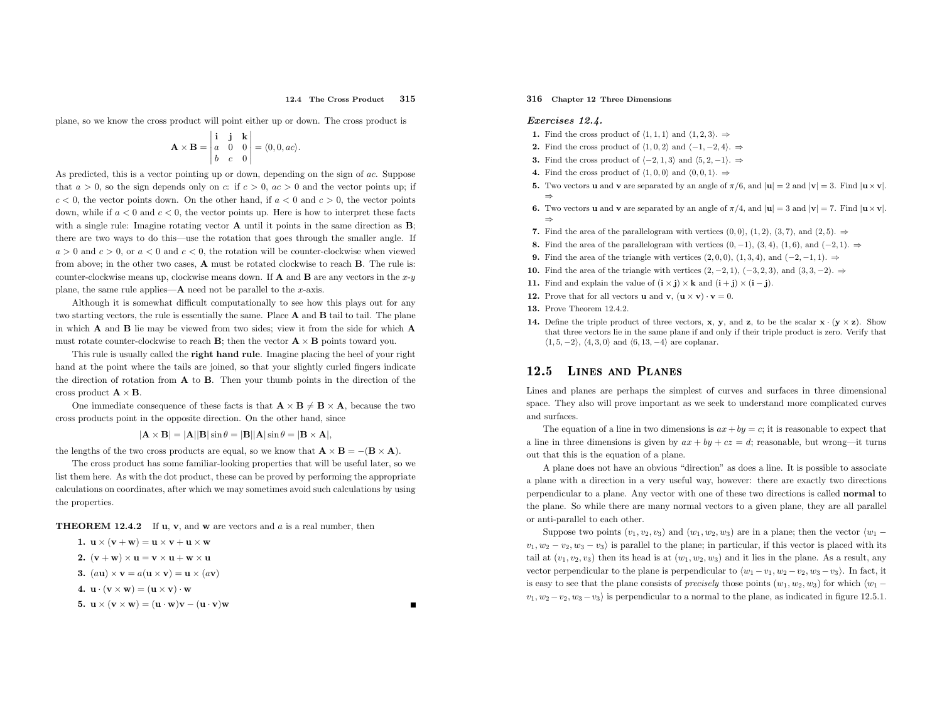<sup>p</sup>lane, so we know the cross product will point either up or down. The cross product is

$$
\mathbf{A} \times \mathbf{B} = \begin{vmatrix} \mathbf{i} & \mathbf{j} & \mathbf{k} \\ a & 0 & 0 \\ b & c & 0 \end{vmatrix} = \langle 0, 0, ac \rangle.
$$

As predicted, this is a vector pointing up or down, depending on the sign of ac. Suppose that  $a > 0$ , so the sign depends only on c: if  $c > 0$ ,  $ac > 0$  and the vector points up; if  $c < 0$ , the vector points down. On the other hand, if  $a < 0$  and  $c > 0$ , the vector points down, while if  $a < 0$  and  $c < 0$ , the vector points up. Here is how to interpret these facts with a single rule: Imagine rotating vector  $\bf{A}$  until it points in the same direction as  $\bf{B}$ ; there are two ways to do this—use the rotation that goes through the smaller angle. If  $a > 0$  and  $c > 0$ , or  $a < 0$  and  $c < 0$ , the rotation will be counter-clockwise when viewed from above; in the other two cases, **A** must be rotated clockwise to reach **B**. The rule is: counter-clockwise means up, clockwise means down. If **A** and **B** are any vectors in the  $x-y$ plane, the same rule applies— $\bf{A}$  need not be parallel to the x-axis.

 Although it is somewhat difficult computationally to see how this <sup>p</sup>lays out for anytwo starting vectors, the rule is essentially the same. Place **A** and **B** tail to tail. The plane in which  $\bf{A}$  and  $\bf{B}$  lie may be viewed from two sides; view it from the side for which  $\bf{A}$ must rotate counter-clockwise to reach  $\mathbf{B}$ ; then the vector  $\mathbf{A} \times \mathbf{B}$  points toward you.

 This rule is usually called the right hand rule. Imagine <sup>p</sup>lacing the heel of your right hand at the point where the tails are joined, so that your slightly curled fingers indicate the direction of rotation from  $A$  to  $B$ . Then your thumb points in the direction of the cross product  $\mathbf{A} \times \mathbf{B}$ .

One immediate consequence of these facts is that  $\mathbf{A} \times \mathbf{B} \neq \mathbf{B} \times \mathbf{A}$ , because the two cross products point in the opposite direction. On the other hand, since

 $|\mathbf{A} \times \mathbf{B}| = |\mathbf{A}||\mathbf{B}|\sin \theta = |\mathbf{B}||\mathbf{A}|\sin \theta = |\mathbf{B} \times \mathbf{A}|,$ 

the lengths of the two cross products are equal, so we know that  $\mathbf{A} \times \mathbf{B} = -(\mathbf{B} \times \mathbf{A})$ .

 The cross product has some familiar-looking properties that will be useful later, so we list them here. As with the dot product, these can be proved by performing the appropriate calculations on coordinates, after which we may sometimes avoid such calculations by using the properties.

**THEOREM 12.4.2** If  $\mathbf{u}, \mathbf{v}$ , and  $\mathbf{w}$  are vectors and  $a$  is a real number, then

1.  $\mathbf{u} \times (\mathbf{v} + \mathbf{w}) = \mathbf{u} \times \mathbf{v} + \mathbf{u} \times \mathbf{w}$ 

$$
2. (v + w) \times u = v \times u + w \times u
$$

3.  $(a\mathbf{u}) \times \mathbf{v} = a(\mathbf{u} \times \mathbf{v}) = \mathbf{u} \times (a\mathbf{v})$ 

- 4.  $\mathbf{u} \cdot (\mathbf{v} \times \mathbf{w}) = (\mathbf{u} \times \mathbf{v}) \cdot \mathbf{w}$
- 5.  $\mathbf{u} \times (\mathbf{v} \times \mathbf{w}) = (\mathbf{u} \cdot \mathbf{w})\mathbf{v} (\mathbf{u} \cdot \mathbf{v})\mathbf{w}$

316 Chapter <sup>12</sup> Three Dimensions

## Exercises 12.4.

- 1. Find the cross product of  $\langle 1, 1, 1 \rangle$  and  $\langle 1, 2, 3 \rangle$ . ⇒
- 2. Find the cross product of  $\langle 1, 0, 2 \rangle$  and  $\langle -1, -2, 4 \rangle$ . ⇒
- 3. Find the cross product of  $\langle -2, 1, 3 \rangle$  and  $\langle 5, 2, -1 \rangle$ . ⇒
- 4. Find the cross product of  $\langle 1, 0, 0 \rangle$  and  $\langle 0, 0, 1 \rangle$ . ⇒
- **5.** Two vectors **u** and **v** are separated by an angle of  $\pi/6$ , and  $|\mathbf{u}| = 2$  and  $|\mathbf{v}| = 3$ . Find  $|\mathbf{u} \times \mathbf{v}|$ . ⇒
- 6. Two vectors **u** and **v** are separated by an angle of  $\pi/4$ , and  $|\mathbf{u}| = 3$  and  $|\mathbf{v}| = 7$ . Find  $|\mathbf{u} \times \mathbf{v}|$ . ⇒
- 7. Find the area of the parallelogram with vertices  $(0,0)$ ,  $(1,2)$ ,  $(3,7)$ , and  $(2,5)$ .  $\Rightarrow$
- 8. Find the area of the parallelogram with vertices  $(0, -1)$ ,  $(3, 4)$ ,  $(1, 6)$ , and  $(-2, 1)$ . ⇒
- 9. Find the area of the triangle with vertices  $(2,0,0)$ ,  $(1,3,4)$ , and  $(-2,-1,1)$ . ⇒
- **10.** Find the area of the triangle with vertices  $(2, -2, 1)$ ,  $(-3, 2, 3)$ , and  $(3, 3, -2)$ . ⇒
- 11. Find and explain the value of  $(i \times j) \times k$  and  $(i + j) \times (i j)$ .
- **12.** Prove that for all vectors **u** and **v**,  $(\mathbf{u} \times \mathbf{v}) \cdot \mathbf{v} = 0$ .
- 13. Prove Theorem 12.4.2.
- **14.** Define the triple product of three vectors, **x**, **y**, and **z**, to be the scalar  $\mathbf{x} \cdot (\mathbf{y} \times \mathbf{z})$ . Show that three vectors lie in the same <sup>p</sup>lane if and only if their triple product is zero. Verify that  $\langle 1, 5, -2 \rangle$ ,  $\langle 4, 3, 0 \rangle$  and  $\langle 6, 13, -4 \rangle$  are coplanar.

#### 12.5Lines and Planes

Lines and <sup>p</sup>lanes are perhaps the simplest of curves and surfaces in three dimensional space. They also will prove important as we seek to understand more complicated curves and surfaces.

The equation of a line in two dimensions is  $ax + by = c$ ; it is reasonable to expect that a line in three dimensions is given by  $ax + by + cz = d$ ; reasonable, but wrong—it turns out that this is the equation of <sup>a</sup> <sup>p</sup>lane.

<sup>A</sup> <sup>p</sup>lane does not have an obvious "direction" as does <sup>a</sup> line. It is possible to associate <sup>a</sup> <sup>p</sup>lane with <sup>a</sup> direction in <sup>a</sup> very useful way, however: there are exactly two directions perpendicular to <sup>a</sup> <sup>p</sup>lane. Any vector with one of these two directions is called normal to the <sup>p</sup>lane. So while there are many normal vectors to <sup>a</sup> <sup>g</sup>iven <sup>p</sup>lane, they are all parallel or anti-parallel to each other.

Suppose two points  $(v_1, v_2, v_3)$  and  $(w_1, w_2, w_3)$  are in a plane; then the vector  $\langle w_1 - w_2, w_3 \rangle$  $v_1, w_2 - v_2, w_3 - v_3$  is parallel to the plane; in particular, if this vector is placed with its tail at  $(v_1, v_2, v_3)$  then its head is at  $(w_1, w_2, w_3)$  and it lies in the plane. As a result, any vector perpendicular to the plane is perpendicular to  $\langle w_1 - v_1, w_2 - v_2, w_3 - v_3 \rangle$ . In fact, it is easy to see that the plane consists of *precisely* those points  $(w_1, w_2, w_3)$  for which  $\langle w_1 - w_2, w_3 \rangle$  $v_1, w_2 - v_2, w_3 - v_3$  is perpendicular to a normal to the plane, as indicated in figure 12.5.1.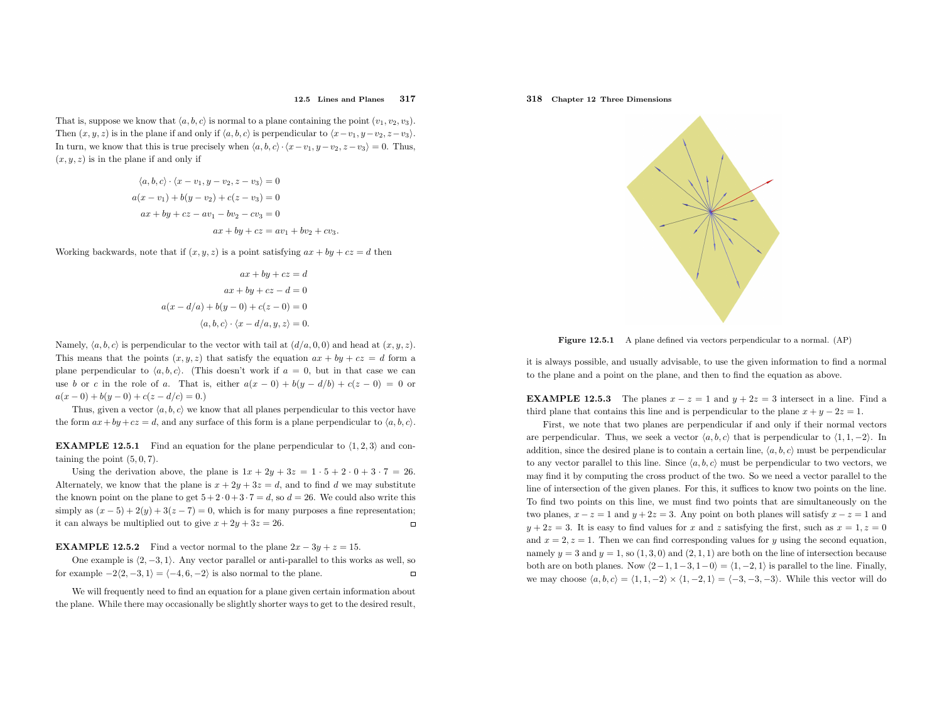That is, suppose we know that  $\langle a, b, c \rangle$  is normal to a plane containing the point  $(v_1, v_2, v_3)$ . Then  $(x, y, z)$  is in the plane if and only if  $\langle a, b, c \rangle$  is perpendicular to  $\langle x-v_1, y-v_2, z-v_3 \rangle$ . In turn, we know that this is true precisely when  $\langle a, b, c \rangle \cdot \langle x - v_1, y - v_2, z - v_3 \rangle = 0$ . Thus,  $(x, y, z)$  is in the plane if and only if

$$
\langle a, b, c \rangle \cdot \langle x - v_1, y - v_2, z - v_3 \rangle = 0
$$
  
\n
$$
a(x - v_1) + b(y - v_2) + c(z - v_3) = 0
$$
  
\n
$$
ax + by + cz - av_1 - bv_2 - cv_3 = 0
$$
  
\n
$$
ax + by + cz = av_1 + bv_2 + cv_3.
$$

Working backwards, note that if  $(x, y, z)$  is a point satisfying  $ax + by + cz = d$  then

$$
ax + by + cz = d
$$

$$
ax + by + cz - d = 0
$$

$$
a(x - d/a) + b(y - 0) + c(z - 0) = 0
$$

$$
\langle a, b, c \rangle \cdot \langle x - d/a, y, z \rangle = 0.
$$

Namely,  $\langle a, b, c \rangle$  is perpendicular to the vector with tail at  $(d/a, 0, 0)$  and head at  $(x, y, z)$ . This means that the points  $(x, y, z)$  that satisfy the equation  $ax + by + cz = d$  form a plane perpendicular to  $\langle a, b, c \rangle$ . (This doesn't work if  $a = 0$ , but in that case we can use b or c in the role of a. That is, either  $a(x - 0) + b(y - d/b) + c(z - 0) = 0$  or  $a(x-0) + b(y-0) + c(z-d/c) = 0.$ 

Thus, given a vector  $\langle a, b, c \rangle$  we know that all planes perpendicular to this vector have the form  $ax + by + cz = d$ , and any surface of this form is a plane perpendicular to  $\langle a, b, c \rangle$ .

**EXAMPLE 12.5.1** Find an equation for the plane perpendicular to  $\langle 1, 2, 3 \rangle$  and containing the point (5, <sup>0</sup>, 7).

Using the derivation above, the plane is  $1x + 2y + 3z = 1 \cdot 5 + 2 \cdot 0 + 3 \cdot 7 = 26$ . Alternately, we know that the plane is  $x + 2y + 3z = d$ , and to find d we may substitute the known point on the plane to get  $5 + 2 \cdot 0 + 3 \cdot 7 = d$ , so  $d = 26$ . We could also write this simply as  $(x-5) + 2(y) + 3(z-7) = 0$ , which is for many purposes a fine representation; it can always be multiplied out to give  $x + 2y + 3z = 26$ .

**EXAMPLE 12.5.2** Find a vector normal to the plane  $2x - 3y + z = 15$ .

One example is  $\langle 2, -3, 1 \rangle$ . Any vector parallel or anti-parallel to this works as well, so for example  $-2\langle 2, -3, 1 \rangle = \langle -4, 6, -2 \rangle$  is also normal to the plane.  $\Box$ 

We will frequently need to find an equation for a plane given certain information about the <sup>p</sup>lane. While there may occasionally be slightly shorter ways to get to the desired result,

## 318 Chapter <sup>12</sup> Three Dimensions



Figure 12.5.1 <sup>A</sup> <sup>p</sup>lane defined via vectors perpendicular to <sup>a</sup> normal. (AP)

it is always possible, and usually advisable, to use the <sup>g</sup>iven information to find <sup>a</sup> normal to the <sup>p</sup>lane and <sup>a</sup> point on the <sup>p</sup>lane, and then to find the equation as above.

**EXAMPLE 12.5.3** The planes  $x - z = 1$  and  $y + 2z = 3$  intersect in a line. Find a third plane that contains this line and is perpendicular to the plane  $x + y - 2z = 1$ .

First, we note that two <sup>p</sup>lanes are perpendicular if and only if their normal vectors are perpendicular. Thus, we seek a vector  $\langle a, b, c \rangle$  that is perpendicular to  $\langle 1, 1, -2 \rangle$ . In addition, since the desired plane is to contain a certain line,  $\langle a, b, c \rangle$  must be perpendicular to any vector parallel to this line. Since  $\langle a, b, c \rangle$  must be perpendicular to two vectors, we may find it by computing the cross product of the two. So we need <sup>a</sup> vector parallel to the line of intersection of the <sup>g</sup>iven <sup>p</sup>lanes. For this, it suffices to know two points on the line. To find two points on this line, we must find two points that are simultaneously on the two planes,  $x - z = 1$  and  $y + 2z = 3$ . Any point on both planes will satisfy  $x - z = 1$  and  $y + 2z = 3$ . It is easy to find values for x and z satisfying the first, such as  $x = 1, z = 0$ and  $x = 2, z = 1$ . Then we can find corresponding values for y using the second equation, namely  $y = 3$  and  $y = 1$ , so  $(1, 3, 0)$  and  $(2, 1, 1)$  are both on the line of intersection because both are on both planes. Now  $\langle 2-1, 1-3, 1-0 \rangle = \langle 1, -2, 1 \rangle$  is parallel to the line. Finally, we may choose  $\langle a, b, c \rangle = \langle 1, 1, -2 \rangle \times \langle 1, -2, 1 \rangle = \langle -3, -3, -3 \rangle$ . While this vector will do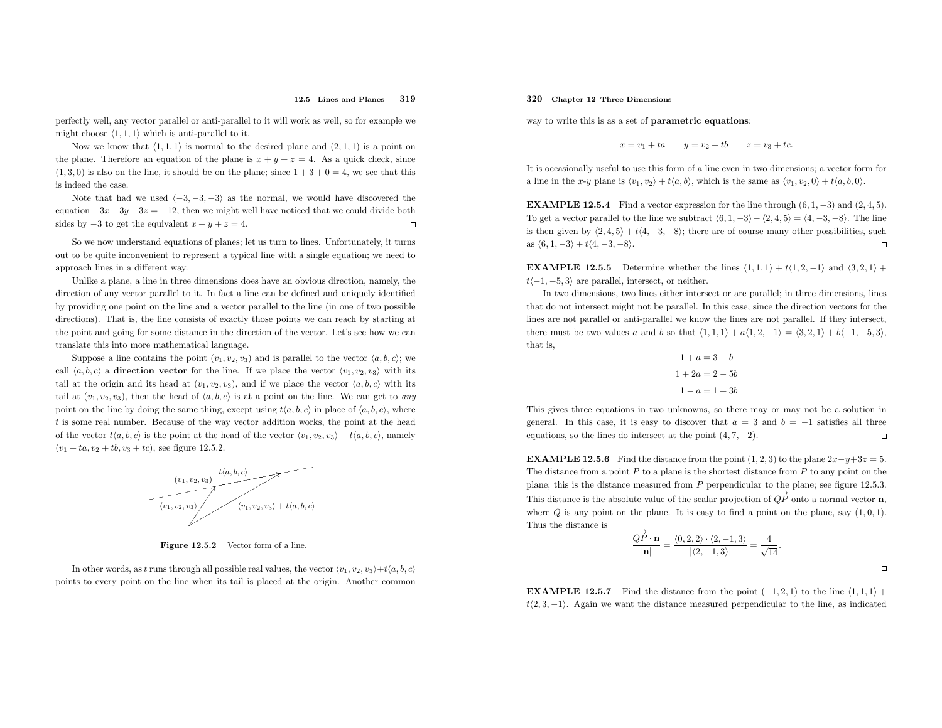perfectly well, any vector parallel or anti-parallel to it will work as well, so for example we might choose  $\langle 1, 1, 1 \rangle$  which is anti-parallel to it.

Now we know that  $\langle 1, 1, 1 \rangle$  is normal to the desired plane and  $(2, 1, 1)$  is a point on the plane. Therefore an equation of the plane is  $x + y + z = 4$ . As a quick check, since  $(1, 3, 0)$  is also on the line, it should be on the plane; since  $1 + 3 + 0 = 4$ , we see that this is indeed the case.

Note that had we used  $\langle -3, -3, -3 \rangle$  as the normal, we would have discovered the equation  $-3x-3y-3z = -12$ , then we might well have noticed that we could divide both sides by  $-3$  to get the equivalent  $x + y + z = 4$ .

So we now understand equations of <sup>p</sup>lanes; let us turn to lines. Unfortunately, it turns out to be quite inconvenient to represent <sup>a</sup> typical line with <sup>a</sup> single equation; we need to approac<sup>h</sup> lines in <sup>a</sup> different way.

Unlike <sup>a</sup> <sup>p</sup>lane, <sup>a</sup> line in three dimensions does have an obvious direction, namely, the direction of any vector parallel to it. In fact <sup>a</sup> line can be defined and uniquely identified by providing one point on the line and <sup>a</sup> vector parallel to the line (in one of two possible directions). That is, the line consists of exactly those points we can reach by starting at the point and going for some distance in the direction of the vector. Let's see how we cantranslate this into more mathematical language.

Suppose a line contains the point  $(v_1, v_2, v_3)$  and is parallel to the vector  $\langle a, b, c \rangle$ ; we call  $\langle a, b, c \rangle$  a **direction vector** for the line. If we place the vector  $\langle v_1, v_2, v_3 \rangle$  with its tail at the origin and its head at  $(v_1, v_2, v_3)$ , and if we place the vector  $\langle a, b, c \rangle$  with its tail at  $(v_1, v_2, v_3)$ , then the head of  $\langle a, b, c \rangle$  is at a point on the line. We can get to any point on the line by doing the same thing, except using  $t\langle a, b, c \rangle$  in place of  $\langle a, b, c \rangle$ , where t is some real number. Because of the way vector addition works, the point at the headof the vector  $t\langle a, b, c \rangle$  is the point at the head of the vector  $\langle v_1, v_2, v_3 \rangle + t\langle a, b, c \rangle$ , namely  $(v_1 + ta, v_2 + tb, v_3 + tc);$  see figure 12.5.2.



**Figure 12.5.2** Vector form of a line.

In other words, as t runs through all possible real values, the vector  $\langle v_1, v_2, v_3 \rangle + t \langle a, b, c \rangle$ points to every point on the line when its tail is <sup>p</sup>laced at the origin. Another common

## 320 Chapter <sup>12</sup> Three Dimensions

way to write this is as <sup>a</sup> set of parametric equations:

 $x = v_1 + ta$   $y = v_2 + tb$   $z = v_3 + tc.$ 

It is occasionally useful to use this form of <sup>a</sup> line even in two dimensions; <sup>a</sup> vector form for a line in the x-y plane is  $\langle v_1, v_2 \rangle + t\langle a, b \rangle$ , which is the same as  $\langle v_1, v_2, 0 \rangle + t\langle a, b, 0 \rangle$ .

**EXAMPLE 12.5.4** Find a vector expression for the line through  $(6, 1, -3)$  and  $(2, 4, 5)$ . To get a vector parallel to the line we subtract  $\langle 6, 1, -3 \rangle - \langle 2, 4, 5 \rangle = \langle 4, -3, -8 \rangle$ . The line is then given by  $\langle 2, 4, 5 \rangle + t\langle 4, -3, -8 \rangle$ ; there are of course many other possibilities, such as  $\langle 6, 1, -3 \rangle + t \langle 4, -3, -8 \rangle.$ 

**EXAMPLE 12.5.5** Determine whether the lines  $\langle 1, 1, 1 \rangle + t\langle 1, 2, -1 \rangle$  and  $\langle 3, 2, 1 \rangle +$  $t\langle -1, -5, 3 \rangle$  are parallel, intersect, or neither.

In two dimensions, two lines either intersect or are parallel; in three dimensions, lines that do not intersect might not be parallel. In this case, since the direction vectors for the lines are not parallel or anti-parallel we know the lines are not parallel. If they intersect, there must be two values a and b so that  $\langle 1, 1, 1 \rangle + a\langle 1, 2, -1 \rangle = \langle 3, 2, 1 \rangle + b\langle -1, -5, 3 \rangle$ , that is,

$$
1 + a = 3 - b
$$

$$
1 + 2a = 2 - 5b
$$

$$
1 - a = 1 + 3b
$$

This <sup>g</sup>ives three equations in two unknowns, so there may or may not be <sup>a</sup> solution ingeneral. In this case, it is easy to discover that  $a = 3$  and  $b = -1$  satisfies all three equations, so the lines do intersect at the point  $(4, 7, -2)$ .

**EXAMPLE 12.5.6** Find the distance from the point  $(1, 2, 3)$  to the plane  $2x-y+3z=5$ . The distance from a point  $P$  to a plane is the shortest distance from  $P$  to any point on the plane; this is the distance measured from P perpendicular to the plane; see figure 12.5.3. This distance is the absolute value of the scalar projection of  $\overrightarrow{QP}$  onto a normal vector **n**, where  $Q$  is any point on the plane. It is easy to find a point on the plane, say  $(1, 0, 1)$ . Thus the distance is

$$
\frac{\overrightarrow{QP} \cdot \mathbf{n}}{|\mathbf{n}|} = \frac{\langle 0, 2, 2 \rangle \cdot \langle 2, -1, 3 \rangle}{|\langle 2, -1, 3 \rangle|} = \frac{4}{\sqrt{14}}.
$$

**EXAMPLE 12.5.7** Find the distance from the point  $(-1, 2, 1)$  to the line  $\langle 1, 1, 1 \rangle$  +  $t(2, 3, -1)$ . Again we want the distance measured perpendicular to the line, as indicated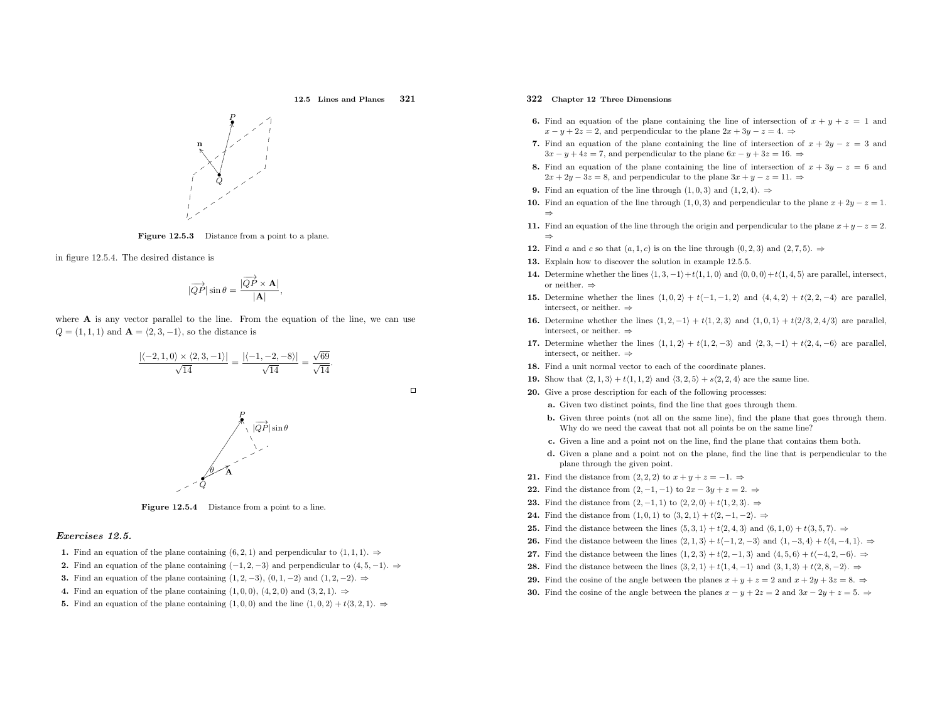12.5 Lines and Planes <sup>321</sup>



**Figure 12.5.3** Distance from a point to a plane.

in figure 12.5.4. The desired distance is

$$
|\overrightarrow{QP}|\sin\theta = \frac{|\overrightarrow{QP} \times \mathbf{A}|}{|\mathbf{A}|},
$$

where  $\bf{A}$  is any vector parallel to the line. From the equation of the line, we can use  $Q = (1, 1, 1)$  and  $\mathbf{A} = (2, 3, -1)$ , so the distance is

$$
\frac{\left| \left\langle -2,1,0\right\rangle \times\left\langle 2,3,-1\right\rangle \right|}{\sqrt{14}}=\frac{\left| \left\langle -1,-2,-8\right\rangle \right|}{\sqrt{14}}=\frac{\sqrt{69}}{\sqrt{14}}.
$$



 $\Box$ 



Figure 12.5.4 Distance from <sup>a</sup> point to <sup>a</sup> line.

#### Exercises 12.5.

- 1. Find an equation of the plane containing  $(6, 2, 1)$  and perpendicular to  $\langle 1, 1, 1 \rangle$ .  $\Rightarrow$
- 2. Find an equation of the plane containing  $(-1, 2, -3)$  and perpendicular to  $\langle 4, 5, -1 \rangle$ . ⇒
- **3.** Find an equation of the plane containing  $(1, 2, -3)$ ,  $(0, 1, -2)$  and  $(1, 2, -2)$ . ⇒
- 4. Find an equation of the plane containing  $(1,0,0)$ ,  $(4,2,0)$  and  $(3,2,1)$ .  $\Rightarrow$
- 5. Find an equation of the plane containing  $(1, 0, 0)$  and the line  $\langle 1, 0, 2 \rangle + t \langle 3, 2, 1 \rangle$ .  $\Rightarrow$

## 322 Chapter <sup>12</sup> Three Dimensions

- 6. Find an equation of the plane containing the line of intersection of  $x + y + z = 1$  and  $x - y + 2z = 2$ , and perpendicular to the plane  $2x + 3y - z = 4$ .  $\Rightarrow$
- 7. Find an equation of the plane containing the line of intersection of  $x + 2y z = 3$  and  $3x - y + 4z = 7$ , and perpendicular to the plane  $6x - y + 3z = 16$ .  $\Rightarrow$
- 8. Find an equation of the plane containing the line of intersection of  $x + 3y z = 6$  and  $2x + 2y - 3z = 8$ , and perpendicular to the plane  $3x + y - z = 11$ .  $\Rightarrow$
- **9.** Find an equation of the line through  $(1,0,3)$  and  $(1,2,4)$ .  $\Rightarrow$
- 10. Find an equation of the line through  $(1, 0, 3)$  and perpendicular to the plane  $x + 2y z = 1$ . ⇒
- 11. Find an equation of the line through the origin and perpendicular to the plane  $x + y z = 2$ . ⇒
- **12.** Find a and c so that  $(a, 1, c)$  is on the line through  $(0, 2, 3)$  and  $(2, 7, 5)$ .  $\Rightarrow$
- 13. Explain how to discover the solution in example 12.5.5.
- **14.** Determine whether the lines  $\langle 1, 3, -1 \rangle + t\langle 1, 1, 0 \rangle$  and  $\langle 0, 0, 0 \rangle + t\langle 1, 4, 5 \rangle$  are parallel, intersect, or neither. ⇒
- 15. Determine whether the lines  $\langle 1, 0, 2 \rangle + t\langle -1, -1, 2 \rangle$  and  $\langle 4, 4, 2 \rangle + t\langle 2, 2, -4 \rangle$  are parallel, intersect, or neither. ⇒
- 16. Determine whether the lines  $\langle 1, 2, -1 \rangle + t\langle 1, 2, 3 \rangle$  and  $\langle 1, 0, 1 \rangle + t\langle 2/3, 2, 4/3 \rangle$  are parallel, intersect, or neither. ⇒
- 17. Determine whether the lines  $\langle 1, 1, 2 \rangle + t\langle 1, 2, -3 \rangle$  and  $\langle 2, 3, -1 \rangle + t\langle 2, 4, -6 \rangle$  are parallel, intersect, or neither. ⇒
- 18. Find <sup>a</sup> unit normal vector to each of the coordinate <sup>p</sup>lanes.
- **19.** Show that  $\langle 2, 1, 3 \rangle + t\langle 1, 1, 2 \rangle$  and  $\langle 3, 2, 5 \rangle + s\langle 2, 2, 4 \rangle$  are the same line.
- 20. Give <sup>a</sup> prose description for each of the following processes:
	- a. Given two distinct points, find the line that goes through them.
	- b. Given three points (not all on the same line), find the <sup>p</sup>lane that goes through them. Why do we need the caveat that not all points be on the same line?
	- c. Given <sup>a</sup> line and <sup>a</sup> point not on the line, find the <sup>p</sup>lane that contains them both.
	- d. Given <sup>a</sup> <sup>p</sup>lane and <sup>a</sup> point not on the <sup>p</sup>lane, find the line that is perpendicular to the <sup>p</sup>lane through the <sup>g</sup>iven point.
- **21.** Find the distance from  $(2, 2, 2)$  to  $x + y + z = -1$ .  $\Rightarrow$
- **22.** Find the distance from  $(2, -1, -1)$  to  $2x 3y + z = 2$ . ⇒
- **23.** Find the distance from  $(2, -1, 1)$  to  $\langle 2, 2, 0 \rangle + t\langle 1, 2, 3 \rangle$ . ⇒
- **24.** Find the distance from  $(1, 0, 1)$  to  $\langle 3, 2, 1 \rangle + t\langle 2, -1, -2 \rangle$ . ⇒
- **25.** Find the distance between the lines  $\langle 5, 3, 1 \rangle + t\langle 2, 4, 3 \rangle$  and  $\langle 6, 1, 0 \rangle + t\langle 3, 5, 7 \rangle$ . ⇒
- **26.** Find the distance between the lines  $\langle 2, 1, 3 \rangle + t\langle -1, 2, -3 \rangle$  and  $\langle 1, -3, 4 \rangle + t\langle 4, -4, 1 \rangle$ . ⇒
- 27. Find the distance between the lines  $\langle 1, 2, 3 \rangle + t\langle 2, -1, 3 \rangle$  and  $\langle 4, 5, 6 \rangle + t\langle -4, 2, -6 \rangle$ . ⇒
- **28.** Find the distance between the lines  $\langle 3, 2, 1 \rangle + t\langle 1, 4, -1 \rangle$  and  $\langle 3, 1, 3 \rangle + t\langle 2, 8, -2 \rangle$ . ⇒
- **29.** Find the cosine of the angle between the planes  $x + y + z = 2$  and  $x + 2y + 3z = 8$ .  $\Rightarrow$
- **30.** Find the cosine of the angle between the planes  $x y + 2z = 2$  and  $3x 2y + z = 5$ . ⇒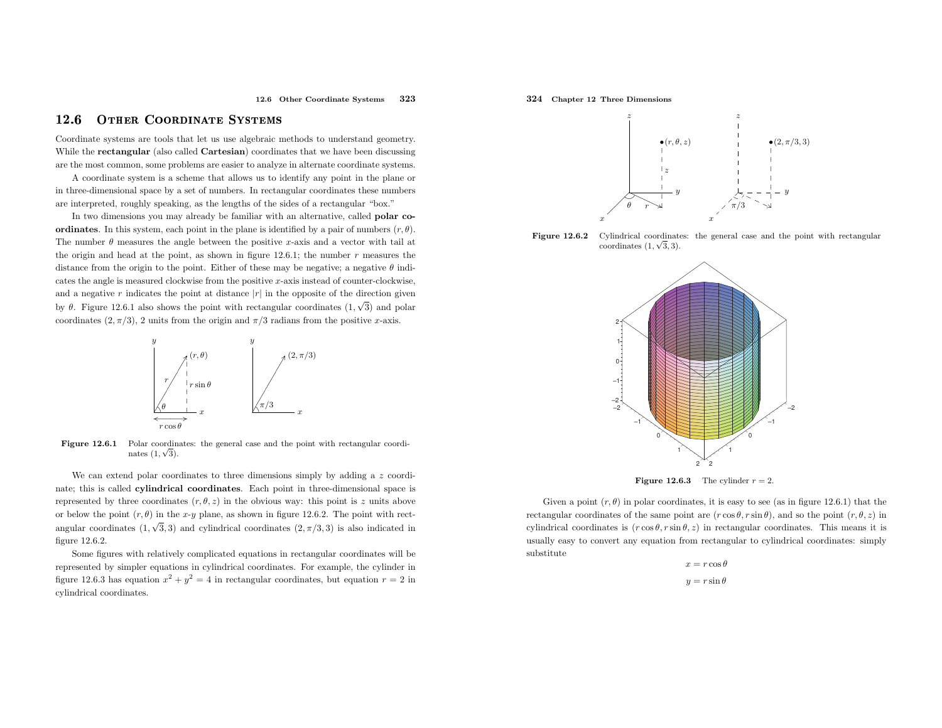#### 12.66 OTHER COORDINATE SYSTEMS

Coordinate systems are tools that let us use algebraic methods to understand geometry. While the **rectangular** (also called **Cartesian**) coordinates that we have been discussing are the most common, some problems are easier to analyze in alternate coordinate systems.

<sup>A</sup> coordinate system is <sup>a</sup> scheme that allows us to identify any point in the <sup>p</sup>lane or in three-dimensional space by <sup>a</sup> set of numbers. In rectangular coordinates these numbers are interpreted, roughly speaking, as the lengths of the sides of <sup>a</sup> rectangular "box."

In two dimensions you may already be familiar with an alternative, called polar coordinates. In this system, each point in the plane is identified by a pair of numbers  $(r, \theta)$ . The number  $\theta$  measures the angle between the positive x-axis and a vector with tail at the origin and head at the point, as shown in figure 12.6.1; the number <sup>r</sup> measures the distance from the origin to the point. Either of these may be negative; a negative  $\theta$  indicates the angle is measured clockwise from the positive  $x$ -axis instead of counter-clockwise, and a negative r indicates the point at distance  $|r|$  in the opposite of the direction given by  $\theta$ . Figure 12.6.1 also shows the point with rectangular coordinates  $(1, \sqrt{3})$  and polar coordinates  $(2, \pi/3)$ , 2 units from the origin and  $\pi/3$  radians from the positive x-axis.



Figure 12.6.1 Polar coordinates: the general case and the point with rectangular coordinates  $(1, \sqrt{3})$ .

We can extend polar coordinates to three dimensions simply by adding a z coordinate; this is called cylindrical coordinates. Each point in three-dimensional space is represented by three coordinates  $(r, \theta, z)$  in the obvious way: this point is z units above or below the point  $(r, \theta)$  in the x-y plane, as shown in figure 12.6.2. The point with rectangular coordinates  $(1, \sqrt{3}, 3)$  and cylindrical coordinates  $(2, \pi/3, 3)$  is also indicated in figure 12.6.2.

Some figures with relatively complicated equations in rectangular coordinates will be represented by simpler equations in cylindrical coordinates. For example, the cylinder infigure 12.6.3 has equation  $x^2 + y^2 = 4$  in rectangular coordinates, but equation  $r = 2$  in cylindrical coordinates.

## 324 Chapter <sup>12</sup> Three Dimensions



Figure 12.6.2 Cylindrical coordinates: the genera<sup>l</sup> case and the point with rectangular coordinates  $(1, \sqrt{3}, 3)$ .



**Figure 12.6.3** The cylinder  $r = 2$ .

Given a point  $(r, \theta)$  in polar coordinates, it is easy to see (as in figure 12.6.1) that the rectangular coordinates of the same point are  $(r \cos \theta, r \sin \theta)$ , and so the point  $(r, \theta, z)$  in cylindrical coordinates is  $(r \cos \theta, r \sin \theta, z)$  in rectangular coordinates. This means it is usually easy to convert any equation from rectangular to cylindrical coordinates: simplysubstitute

 $x = r \cos \theta$ 

$$
y = r\sin\theta
$$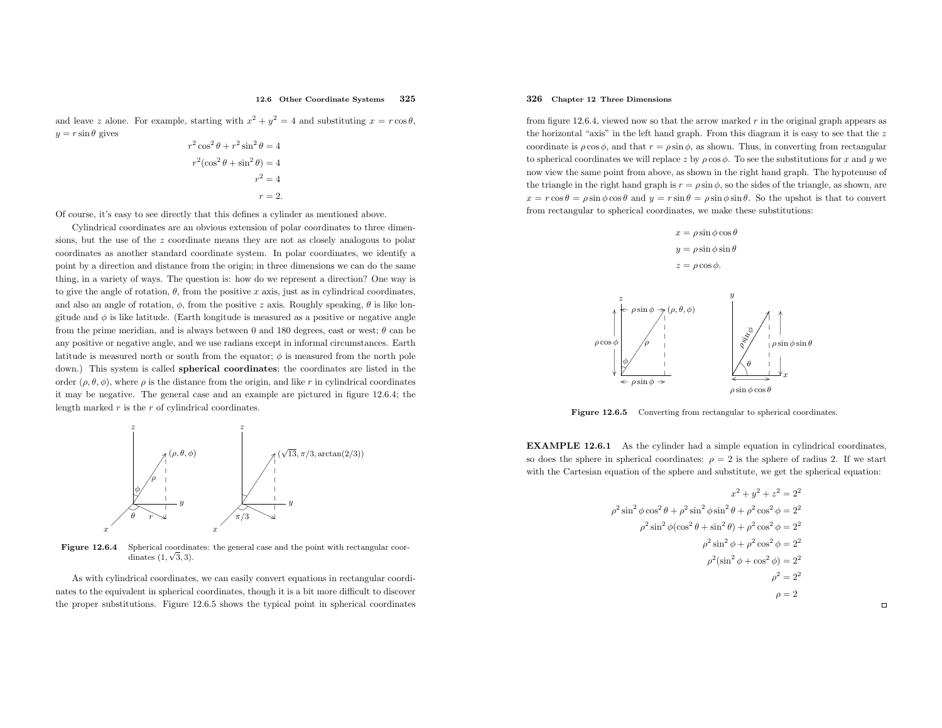and leave z alone. For example, starting with  $x^2 + y^2 = 4$  and substituting  $x = r \cos \theta$ ,  $y = r \sin \theta$  gives

$$
r^{2} \cos^{2} \theta + r^{2} \sin^{2} \theta = 4
$$

$$
r^{2} (\cos^{2} \theta + \sin^{2} \theta) = 4
$$

$$
r^{2} = 4
$$

$$
r = 2.
$$

Of course, it's easy to see directly that this defines <sup>a</sup> cylinder as mentioned above.

Cylindrical coordinates are an obvious extension of polar coordinates to three dimensions, but the use of the <sup>z</sup> coordinate means they are not as closely analogous to polar coordinates as another standard coordinate system. In polar coordinates, we identify <sup>a</sup> point by <sup>a</sup> direction and distance from the origin; in three dimensions we can do the same thing, in <sup>a</sup> variety of ways. The question is: how do we represent <sup>a</sup> direction? One way is to give the angle of rotation,  $\theta$ , from the positive x axis, just as in cylindrical coordinates, and also an angle of rotation,  $\phi$ , from the positive z axis. Roughly speaking,  $\theta$  is like longitude and  $\phi$  is like latitude. (Earth longitude is measured as a positive or negative angle from the prime meridian, and is always between 0 and 180 degrees, east or west;  $\theta$  can be any positive or negative angle, and we use radians except in informal circumstances. Earthlatitude is measured north or south from the equator;  $\phi$  is measured from the north pole down.) This system is called spherical coordinates; the coordinates are listed in the order  $(\rho, \theta, \phi)$ , where  $\rho$  is the distance from the origin, and like r in cylindrical coordinates it may be negative. The genera<sup>l</sup> case and an example are <sup>p</sup>ictured in figure 12.6.4; the length marked  $r$  is the  $r$  of cylindrical coordinates.



Figure 12.6.4 Spherical coordinates: the general case and the point with rectangular coordinates  $(1, \sqrt{3}, 3)$ .

As with cylindrical coordinates, we can easily convert equations in rectangular coordinates to the equivalent in spherical coordinates, though it is <sup>a</sup> bit more difficult to discover the proper substitutions. Figure 12.6.5 shows the typical point in spherical coordinates

## 326 Chapter <sup>12</sup> Three Dimensions

from figure 12.6.4, viewed now so that the arrow marked  $r$  in the original graph appears as the horizontal "axis" in the left hand graph. From this diagram it is easy to see that the <sup>z</sup> coordinate is  $\rho \cos \phi$ , and that  $r = \rho \sin \phi$ , as shown. Thus, in converting from rectangular to spherical coordinates we will replace z by  $\rho \cos \phi$ . To see the substitutions for x and y we now view the same point from above, as shown in the right hand graph. The hypotenuse of the triangle in the right hand graph is  $r = \rho \sin \phi$ , so the sides of the triangle, as shown, are  $x = r \cos \theta = \rho \sin \phi \cos \theta$  and  $y = r \sin \theta = \rho \sin \phi \sin \theta$ . So the upshot is that to convert from rectangular to spherical coordinates, we make these substitutions:



Figure 12.6.5 Converting from rectangular to spherical coordinates.

EXAMPLE 12.6.1 As the cylinder had <sup>a</sup> simple equation in cylindrical coordinates, so does the sphere in spherical coordinates:  $\rho = 2$  is the sphere of radius 2. If we start with the Cartesian equation of the sphere and substitute, we get the spherical equation:

$$
x^2 + y^2 + z^2 = 2^2
$$

$$
\rho^2 \sin^2 \phi \cos^2 \theta + \rho^2 \sin^2 \phi \sin^2 \theta + \rho^2 \cos^2 \phi = 2^2
$$

$$
\rho^2 \sin^2 \phi (\cos^2 \theta + \sin^2 \theta) + \rho^2 \cos^2 \phi = 2^2
$$

$$
\rho^2 \sin^2 \phi + \rho^2 \cos^2 \phi = 2^2
$$

$$
\rho^2 (\sin^2 \phi + \cos^2 \phi) = 2^2
$$

$$
\rho^2 = 2^2
$$

$$
\rho = 2
$$

 $\Box$